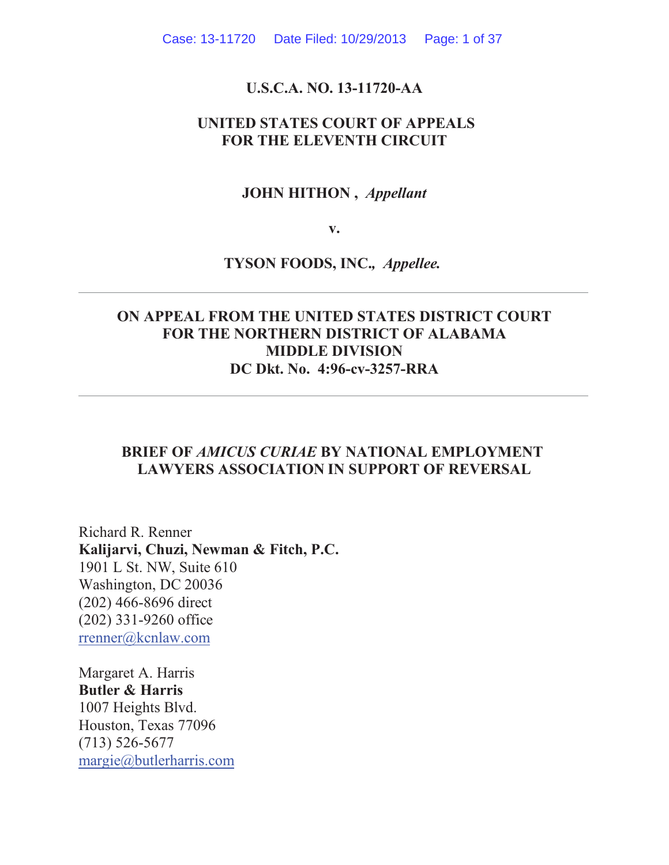#### **U.S.C.A. NO. 13-11720-AA**

### **UNITED STATES COURT OF APPEALS FOR THE ELEVENTH CIRCUIT**

### **JOHN HITHON ,** *Appellant*

**v.**

#### **TYSON FOODS, INC.***, Appellee.*

### **ON APPEAL FROM THE UNITED STATES DISTRICT COURT FOR THE NORTHERN DISTRICT OF ALABAMA MIDDLE DIVISION DC Dkt. No. 4:96-cv-3257-RRA**

### **BRIEF OF** *AMICUS CURIAE* **BY NATIONAL EMPLOYMENT LAWYERS ASSOCIATION IN SUPPORT OF REVERSAL**

Richard R. Renner **Kalijarvi, Chuzi, Newman & Fitch, P.C.** 1901 L St. NW, Suite 610 Washington, DC 20036 (202) 466-8696 direct (202) 331-9260 office rrenner@kcnlaw.com

Margaret A. Harris **Butler & Harris** 1007 Heights Blvd. Houston, Texas 77096 (713) 526-5677 margie@butlerharris.com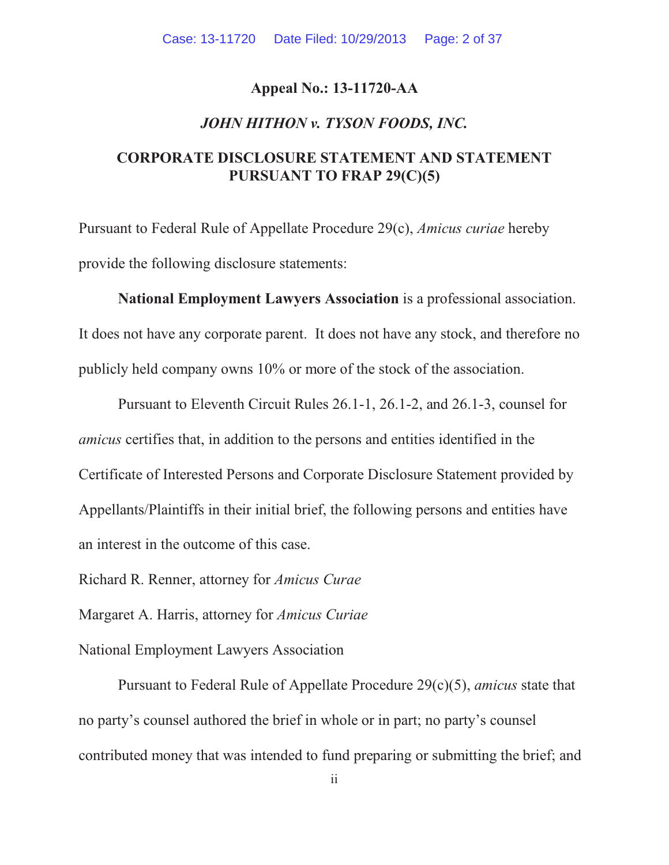#### **Appeal No.: 13-11720-AA**

#### *JOHN HITHON v. TYSON FOODS, INC.*

### **CORPORATE DISCLOSURE STATEMENT AND STATEMENT PURSUANT TO FRAP 29(C)(5)**

Pursuant to Federal Rule of Appellate Procedure 29(c), *Amicus curiae* hereby provide the following disclosure statements:

**National Employment Lawyers Association** is a professional association. It does not have any corporate parent. It does not have any stock, and therefore no publicly held company owns 10% or more of the stock of the association.

Pursuant to Eleventh Circuit Rules 26.1-1, 26.1-2, and 26.1-3, counsel for *amicus* certifies that, in addition to the persons and entities identified in the Certificate of Interested Persons and Corporate Disclosure Statement provided by Appellants/Plaintiffs in their initial brief, the following persons and entities have an interest in the outcome of this case.

Richard R. Renner, attorney for *Amicus Curae*

Margaret A. Harris, attorney for *Amicus Curiae*

National Employment Lawyers Association

Pursuant to Federal Rule of Appellate Procedure 29(c)(5), *amicus* state that no party's counsel authored the brief in whole or in part; no party's counsel contributed money that was intended to fund preparing or submitting the brief; and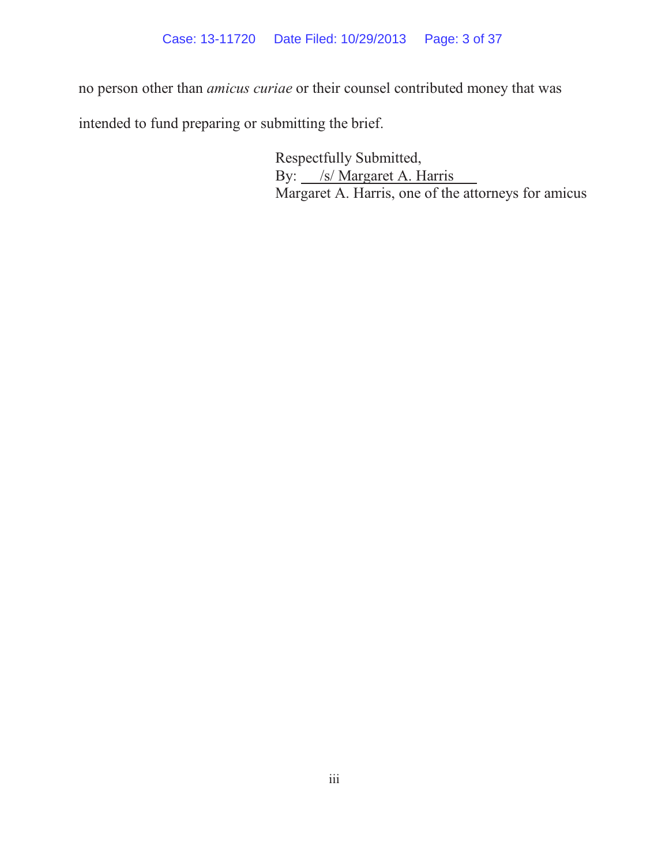no person other than *amicus curiae* or their counsel contributed money that was

intended to fund preparing or submitting the brief.

Respectfully Submitted, By: */s/ Margaret A. Harris* Margaret A. Harris, one of the attorneys for amicus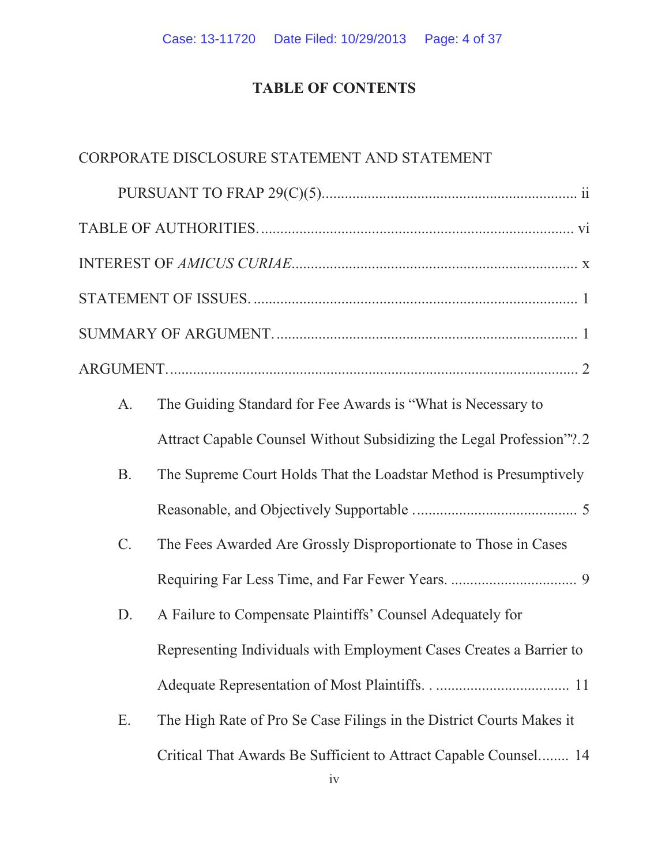# **TABLE OF CONTENTS**

### CORPORATE DISCLOSURE STATEMENT AND STATEMENT

| A.              | The Guiding Standard for Fee Awards is "What is Necessary to         |
|-----------------|----------------------------------------------------------------------|
|                 | Attract Capable Counsel Without Subsidizing the Legal Profession"?.2 |
| <b>B.</b>       | The Supreme Court Holds That the Loadstar Method is Presumptively    |
|                 |                                                                      |
| $\mathcal{C}$ . | The Fees Awarded Are Grossly Disproportionate to Those in Cases      |
|                 |                                                                      |
| D.              | A Failure to Compensate Plaintiffs' Counsel Adequately for           |
|                 | Representing Individuals with Employment Cases Creates a Barrier to  |
|                 |                                                                      |
| Ε.              | The High Rate of Pro Se Case Filings in the District Courts Makes it |
|                 | Critical That Awards Be Sufficient to Attract Capable Counsel 14     |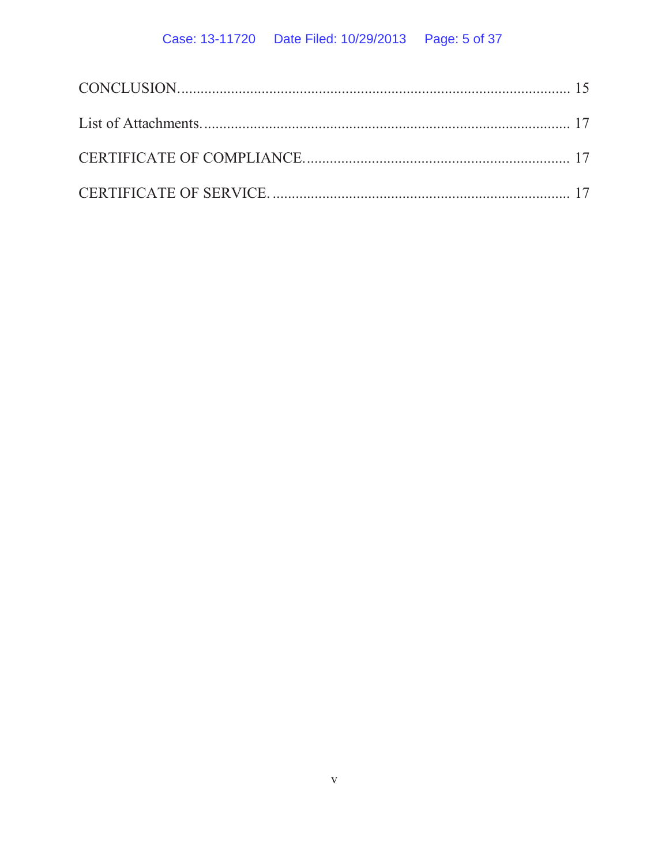# Case: 13-11720 Date Filed: 10/29/2013 Page: 5 of 37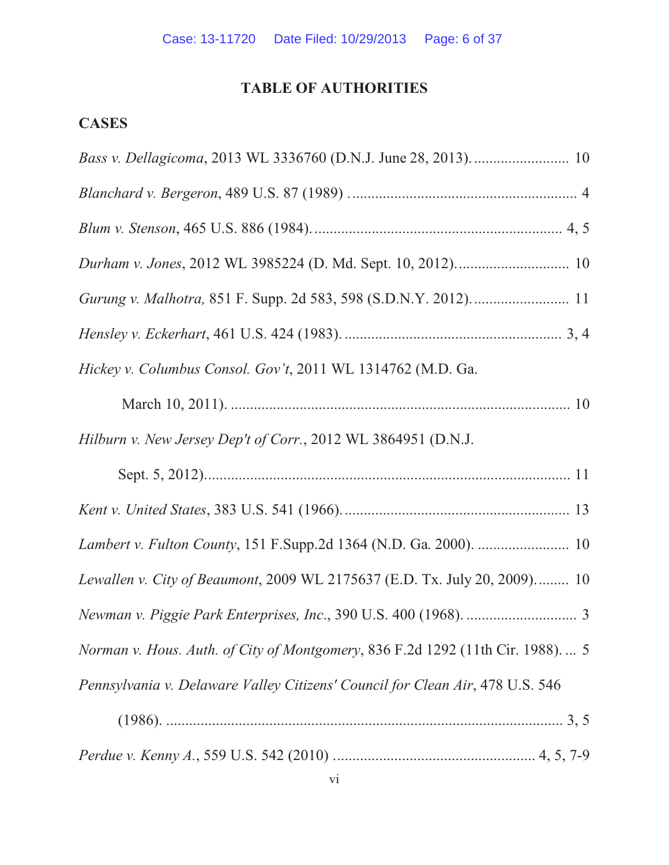### **TABLE OF AUTHORITIES**

## **CASES**

| Hickey v. Columbus Consol. Gov't, 2011 WL 1314762 (M.D. Ga.                     |
|---------------------------------------------------------------------------------|
|                                                                                 |
| Hilburn v. New Jersey Dep't of Corr., 2012 WL 3864951 (D.N.J.                   |
|                                                                                 |
|                                                                                 |
| Lambert v. Fulton County, 151 F.Supp.2d 1364 (N.D. Ga. 2000).  10               |
| Lewallen v. City of Beaumont, 2009 WL 2175637 (E.D. Tx. July 20, 2009) 10       |
|                                                                                 |
| Norman v. Hous. Auth. of City of Montgomery, 836 F.2d 1292 (11th Cir. 1988).  5 |
| Pennsylvania v. Delaware Valley Citizens' Council for Clean Air, 478 U.S. 546   |
|                                                                                 |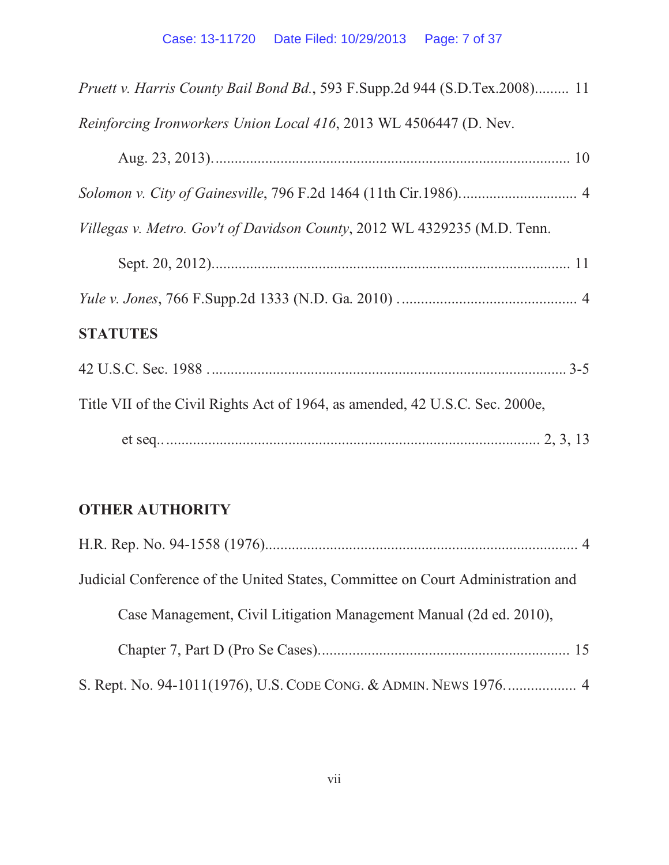| Pruett v. Harris County Bail Bond Bd., 593 F.Supp.2d 944 (S.D.Tex.2008) 11   |
|------------------------------------------------------------------------------|
| Reinforcing Ironworkers Union Local 416, 2013 WL 4506447 (D. Nev.            |
|                                                                              |
|                                                                              |
| Villegas v. Metro. Gov't of Davidson County, 2012 WL 4329235 (M.D. Tenn.     |
|                                                                              |
|                                                                              |
| <b>STATUTES</b>                                                              |
|                                                                              |
| Title VII of the Civil Rights Act of 1964, as amended, 42 U.S.C. Sec. 2000e, |
|                                                                              |
|                                                                              |

# **OTHER AUTHORITY**

| Judicial Conference of the United States, Committee on Court Administration and |
|---------------------------------------------------------------------------------|
| Case Management, Civil Litigation Management Manual (2d ed. 2010),              |
|                                                                                 |
|                                                                                 |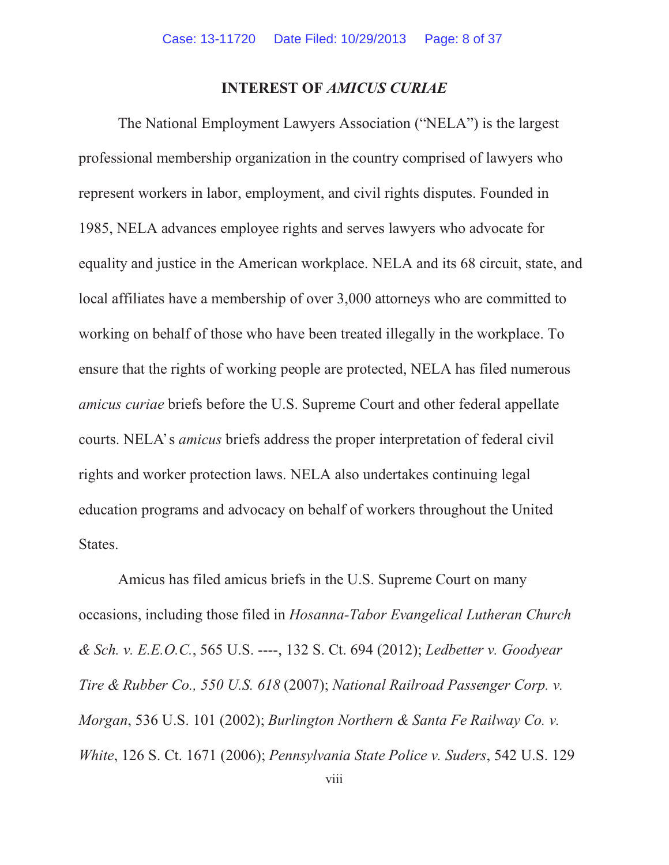#### **INTEREST OF** *AMICUS CURIAE*

The National Employment Lawyers Association ("NELA") is the largest professional membership organization in the country comprised of lawyers who represent workers in labor, employment, and civil rights disputes. Founded in 1985, NELA advances employee rights and serves lawyers who advocate for equality and justice in the American workplace. NELA and its 68 circuit, state, and local affiliates have a membership of over 3,000 attorneys who are committed to working on behalf of those who have been treated illegally in the workplace. To ensure that the rights of working people are protected, NELA has filed numerous *amicus curiae* briefs before the U.S. Supreme Court and other federal appellate courts. NELA's *amicus* briefs address the proper interpretation of federal civil courts. NELA's *amicus* briefs address the proper interpretation of federal civil rights and worker protection laws. NELA also undertakes continuing legal education programs and advocacy on behalf of workers throughout the United States.

Amicus has filed amicus briefs in the U.S. Supreme Court on many occasions, including those filed in *Hosanna-Tabor Evangelical Lutheran Church & Sch. v. E.E.O.C.*, 565 U.S. ----, 132 S. Ct. 694 (2012); *Ledbetter v. Goodyear Tire & Rubber Co., 550 U.S. 618* (2007); *National Railroad Passenger Corp. v. Morgan*, 536 U.S. 101 (2002); *Burlington Northern & Santa Fe Railway Co. v. White*, 126 S. Ct. 1671 (2006); *Pennsylvania State Police v. Suders*, 542 U.S. 129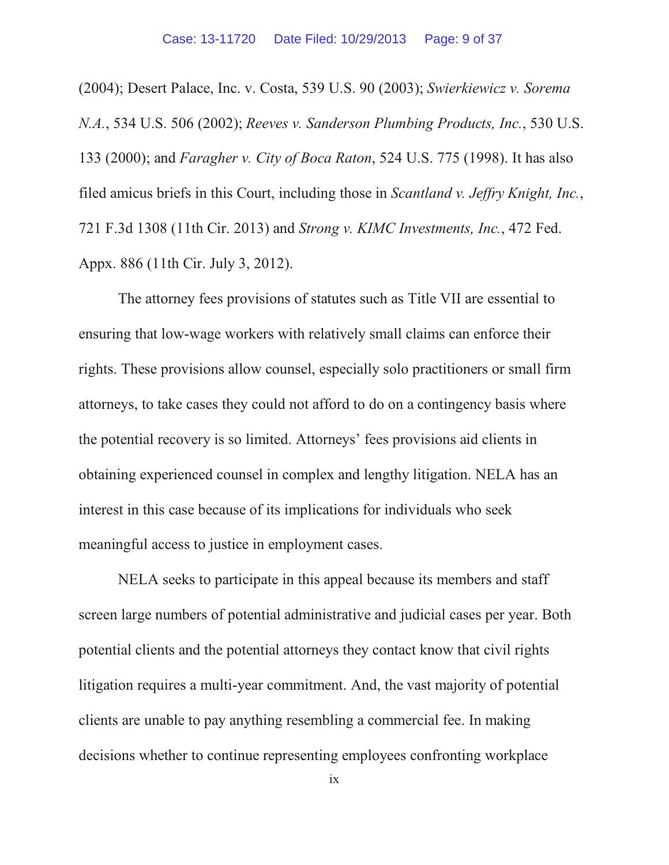(2004); Desert Palace, Inc. v. Costa, 539 U.S. 90 (2003); *Swierkiewicz v. Sorema N.A.*, 534 U.S. 506 (2002); *Reeves v. Sanderson Plumbing Products, Inc.*, 530 U.S. 133 (2000); and *Faragher v. City of Boca Raton*, 524 U.S. 775 (1998). It has also filed amicus briefs in this Court, including those in *Scantland v. Jeffry Knight, Inc.*, 721 F.3d 1308 (11th Cir. 2013) and *Strong v. KIMC Investments, Inc.*, 472 Fed. Appx. 886 (11th Cir. July 3, 2012).

The attorney fees provisions of statutes such as Title VII are essential to ensuring that low-wage workers with relatively small claims can enforce their rights. These provisions allow counsel, especially solo practitioners or small firm attorneys, to take cases they could not afford to do on a contingency basis where the potential recovery is so limited. Attorneys' fees provisions aid clients in obtaining experienced counsel in complex and lengthy litigation. NELA has an interest in this case because of its implications for individuals who seek meaningful access to justice in employment cases.

NELA seeks to participate in this appeal because its members and staff screen large numbers of potential administrative and judicial cases per year. Both potential clients and the potential attorneys they contact know that civil rights litigation requires a multi-year commitment. And, the vast majority of potential clients are unable to pay anything resembling a commercial fee. In making decisions whether to continue representing employees confronting workplace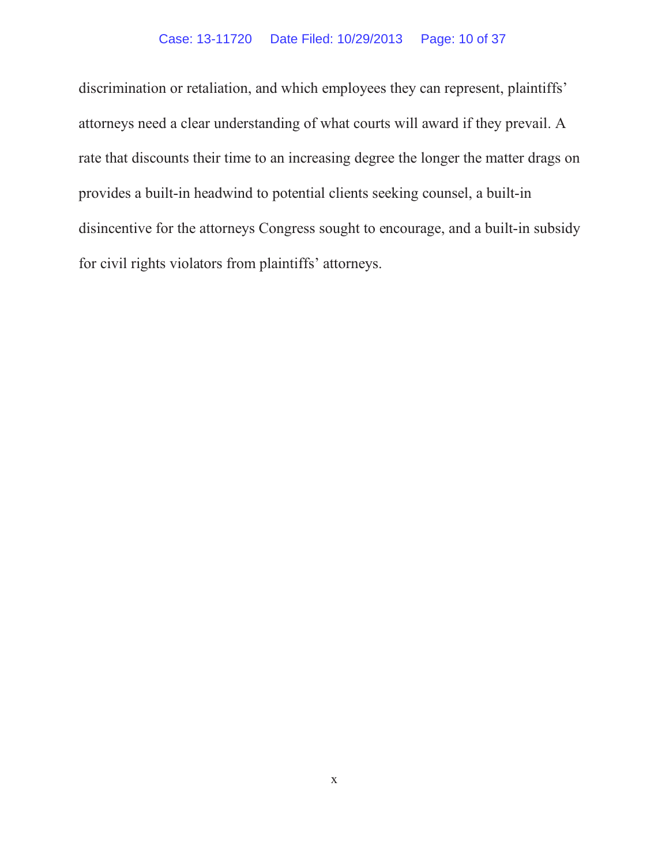#### Case: 13-11720 Date Filed: 10/29/2013 Page: 10 of 37

discrimination or retaliation, and which employees they can represent, plaintiffs' attorneys need a clear understanding of what courts will award if they prevail. A rate that discounts their time to an increasing degree the longer the matter drags on provides a built-in headwind to potential clients seeking counsel, a built-in disincentive for the attorneys Congress sought to encourage, and a built-in subsidy for civil rights violators from plaintiffs' attorneys.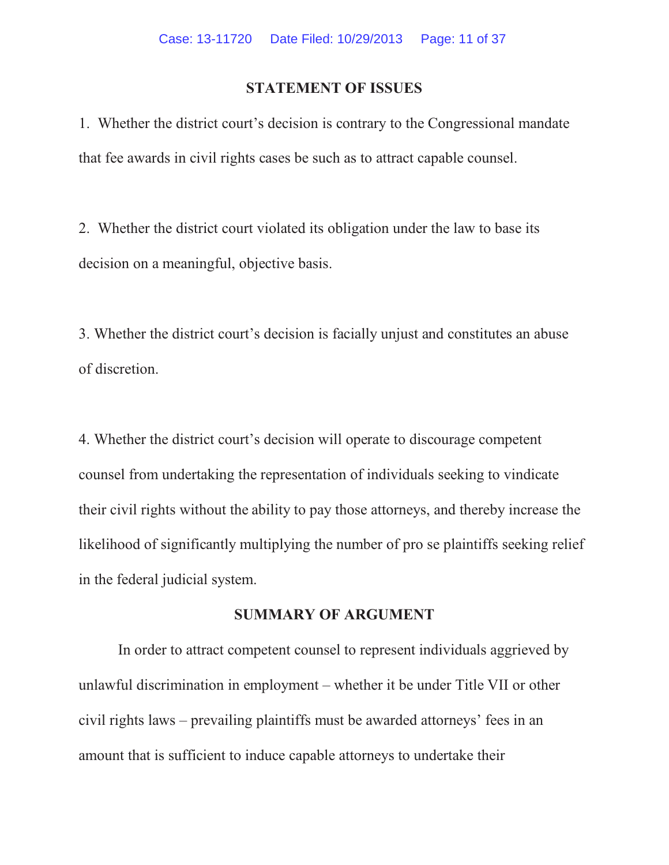#### **STATEMENT OF ISSUES**

1. Whether the district court's decision is contrary to the Congressional mandate that fee awards in civil rights cases be such as to attract capable counsel.

2. Whether the district court violated its obligation under the law to base its decision on a meaningful, objective basis.

3. Whether the district court's decision is facially unjust and constitutes an abuse of discretion.

4. Whether the district court's decision will operate to discourage competent counsel from undertaking the representation of individuals seeking to vindicate their civil rights without the ability to pay those attorneys, and thereby increase the likelihood of significantly multiplying the number of pro se plaintiffs seeking relief in the federal judicial system.

#### **SUMMARY OF ARGUMENT**

In order to attract competent counsel to represent individuals aggrieved by unlawful discrimination in employment – whether it be under Title VII or other civil rights laws – prevailing plaintiffs must be awarded attorneys' fees in an amount that is sufficient to induce capable attorneys to undertake their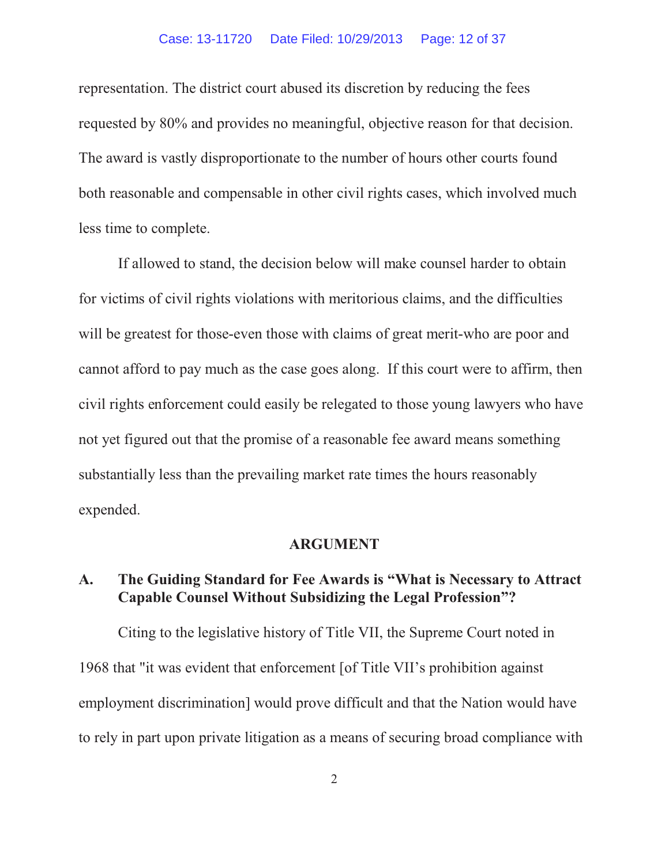#### Case: 13-11720 Date Filed: 10/29/2013 Page: 12 of 37

representation. The district court abused its discretion by reducing the fees requested by 80% and provides no meaningful, objective reason for that decision. The award is vastly disproportionate to the number of hours other courts found both reasonable and compensable in other civil rights cases, which involved much less time to complete.

If allowed to stand, the decision below will make counsel harder to obtain for victims of civil rights violations with meritorious claims, and the difficulties will be greatest for those-even those with claims of great merit-who are poor and cannot afford to pay much as the case goes along. If this court were to affirm, then civil rights enforcement could easily be relegated to those young lawyers who have not yet figured out that the promise of a reasonable fee award means something substantially less than the prevailing market rate times the hours reasonably expended.

#### **ARGUMENT**

### **A. The Guiding Standard for Fee Awards is "What is Necessary to Attract Capable Counsel Without Subsidizing the Legal Profession"?**

Citing to the legislative history of Title VII, the Supreme Court noted in 1968 that "it was evident that enforcement [of Title VII's prohibition against employment discrimination] would prove difficult and that the Nation would have to rely in part upon private litigation as a means of securing broad compliance with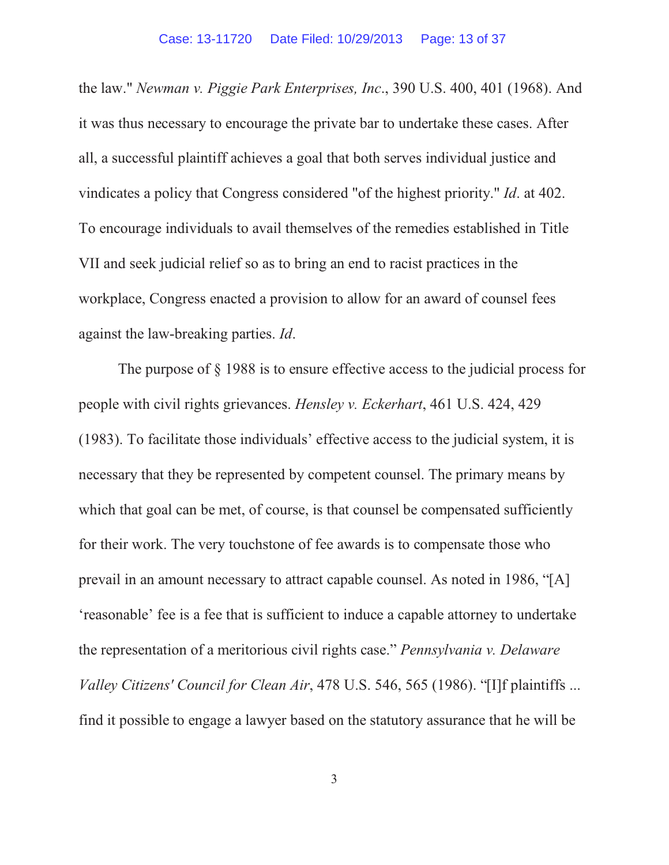the law." *Newman v. Piggie Park Enterprises, Inc*., 390 U.S. 400, 401 (1968). And it was thus necessary to encourage the private bar to undertake these cases. After all, a successful plaintiff achieves a goal that both serves individual justice and vindicates a policy that Congress considered "of the highest priority." *Id*. at 402. To encourage individuals to avail themselves of the remedies established in Title VII and seek judicial relief so as to bring an end to racist practices in the workplace, Congress enacted a provision to allow for an award of counsel fees against the law-breaking parties. *Id*.

The purpose of § 1988 is to ensure effective access to the judicial process for people with civil rights grievances. *Hensley v. Eckerhart*, 461 U.S. 424, 429 (1983). To facilitate those individuals' effective access to the judicial system, it is necessary that they be represented by competent counsel. The primary means by which that goal can be met, of course, is that counsel be compensated sufficiently for their work. The very touchstone of fee awards is to compensate those who prevail in an amount necessary to attract capable counsel. As noted in 1986, "[A] 'reasonable' fee is a fee that is sufficient to induce a capable attorney to undertake the representation of a meritorious civil rights case." *Pennsylvania v. Delaware Valley Citizens' Council for Clean Air*, 478 U.S. 546, 565 (1986). "[I]f plaintiffs ... find it possible to engage a lawyer based on the statutory assurance that he will be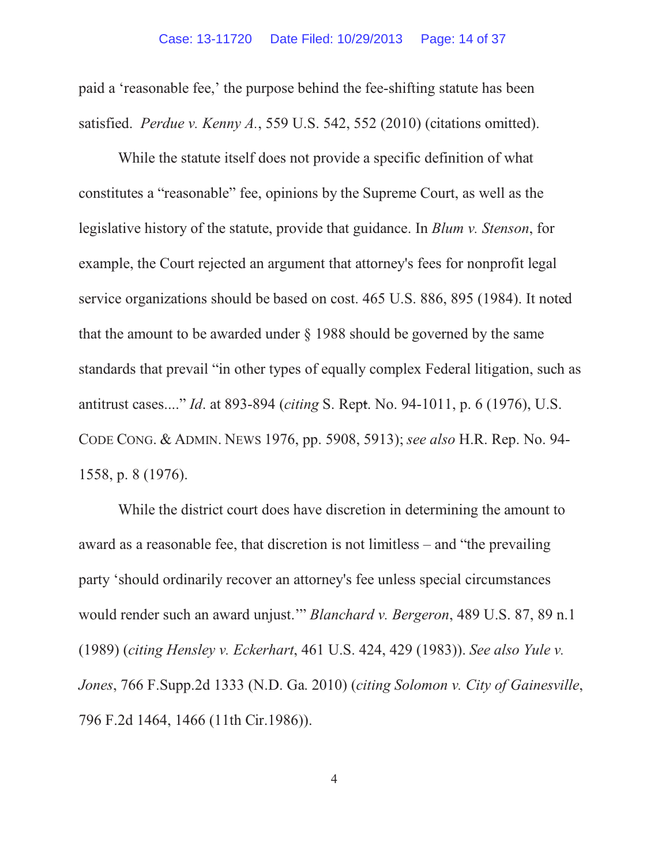paid a 'reasonable fee,' the purpose behind the fee-shifting statute has been satisfied. *Perdue v. Kenny A.*, 559 U.S. 542, 552 (2010) (citations omitted).

While the statute itself does not provide a specific definition of what constitutes a "reasonable" fee, opinions by the Supreme Court, as well as the legislative history of the statute, provide that guidance. In *Blum v. Stenson*, for example, the Court rejected an argument that attorney's fees for nonprofit legal service organizations should be based on cost. 465 U.S. 886, 895 (1984). It noted that the amount to be awarded under § 1988 should be governed by the same standards that prevail "in other types of equally complex Federal litigation, such as antitrust cases...." *Id*. at 893-894 (*citing* S. Rept. No. 94-1011, p. 6 (1976), U.S. CODE CONG. & ADMIN. NEWS 1976, pp. 5908, 5913); *see also* H.R. Rep. No. 94- 1558, p. 8 (1976).

While the district court does have discretion in determining the amount to award as a reasonable fee, that discretion is not limitless – and "the prevailing party 'should ordinarily recover an attorney's fee unless special circumstances would render such an award unjust.'" *Blanchard v. Bergeron*, 489 U.S. 87, 89 n.1 (1989) (*citing Hensley v. Eckerhart*, 461 U.S. 424, 429 (1983)). *See also Yule v. Jones*, 766 F.Supp.2d 1333 (N.D. Ga. 2010) (*citing Solomon v. City of Gainesville*, 796 F.2d 1464, 1466 (11th Cir.1986)).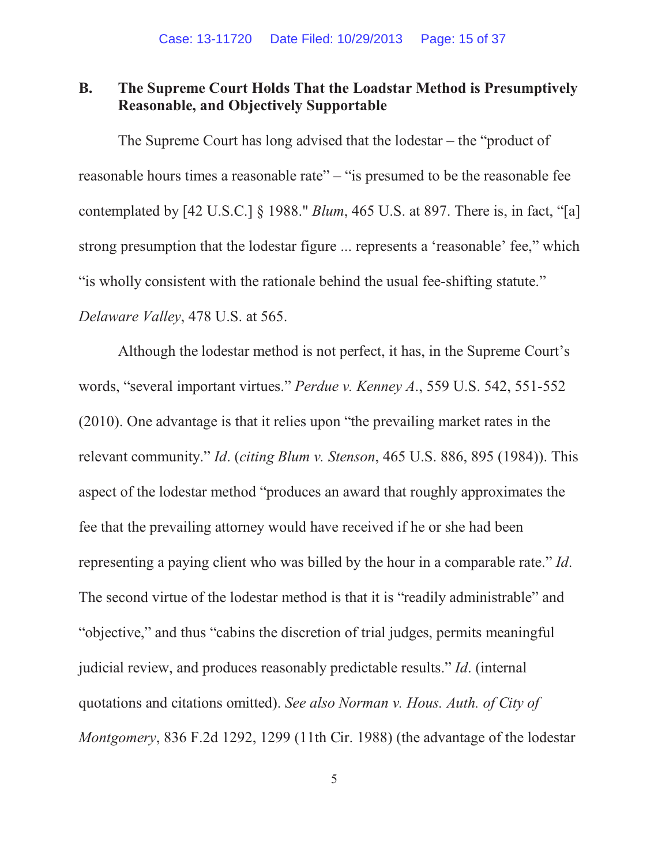### **B. The Supreme Court Holds That the Loadstar Method is Presumptively Reasonable, and Objectively Supportable**

The Supreme Court has long advised that the lodestar – the "product of reasonable hours times a reasonable rate" – "is presumed to be the reasonable fee contemplated by [42 U.S.C.] § 1988." *Blum*, 465 U.S. at 897. There is, in fact, "[a] strong presumption that the lodestar figure ... represents a 'reasonable' fee," which "is wholly consistent with the rationale behind the usual fee-shifting statute." *Delaware Valley*, 478 U.S. at 565.

Although the lodestar method is not perfect, it has, in the Supreme Court's words, "several important virtues." *Perdue v. Kenney A*., 559 U.S. 542, 551-552 (2010). One advantage is that it relies upon "the prevailing market rates in the relevant community." *Id*. (*citing Blum v. Stenson*, 465 U.S. 886, 895 (1984)). This aspect of the lodestar method "produces an award that roughly approximates the fee that the prevailing attorney would have received if he or she had been representing a paying client who was billed by the hour in a comparable rate." *Id*. The second virtue of the lodestar method is that it is "readily administrable" and "objective," and thus "cabins the discretion of trial judges, permits meaningful judicial review, and produces reasonably predictable results." *Id*. (internal quotations and citations omitted). *See also Norman v. Hous. Auth. of City of Montgomery*, 836 F.2d 1292, 1299 (11th Cir. 1988) (the advantage of the lodestar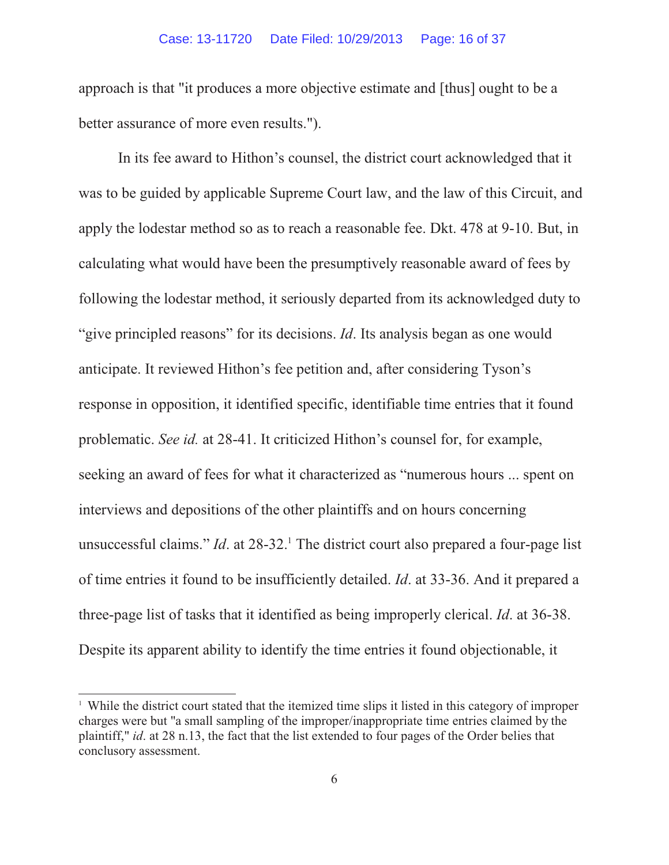approach is that "it produces a more objective estimate and [thus] ought to be a better assurance of more even results.").

In its fee award to Hithon's counsel, the district court acknowledged that it was to be guided by applicable Supreme Court law, and the law of this Circuit, and apply the lodestar method so as to reach a reasonable fee. Dkt. 478 at 9-10. But, in calculating what would have been the presumptively reasonable award of fees by following the lodestar method, it seriously departed from its acknowledged duty to "give principled reasons" for its decisions. *Id*. Its analysis began as one would anticipate. It reviewed Hithon's fee petition and, after considering Tyson's response in opposition, it identified specific, identifiable time entries that it found problematic. *See id.* at 28-41. It criticized Hithon's counsel for, for example, seeking an award of fees for what it characterized as "numerous hours ... spent on interviews and depositions of the other plaintiffs and on hours concerning unsuccessful claims." *Id*. at 28-32.<sup>1</sup> The district court also prepared a four-page list of time entries it found to be insufficiently detailed. *Id*. at 33-36. And it prepared a three-page list of tasks that it identified as being improperly clerical. *Id*. at 36-38. Despite its apparent ability to identify the time entries it found objectionable, it

<sup>&</sup>lt;sup>1</sup> While the district court stated that the itemized time slips it listed in this category of improper charges were but "a small sampling of the improper/inappropriate time entries claimed by the plaintiff," *id*. at 28 n.13, the fact that the list extended to four pages of the Order belies that conclusory assessment.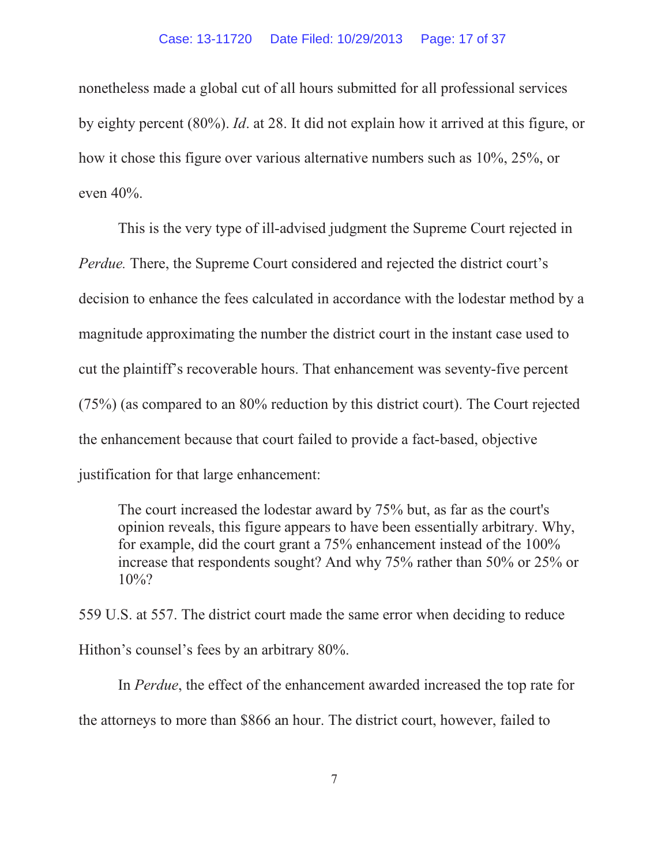nonetheless made a global cut of all hours submitted for all professional services by eighty percent (80%). *Id*. at 28. It did not explain how it arrived at this figure, or how it chose this figure over various alternative numbers such as 10%, 25%, or even 40%.

This is the very type of ill-advised judgment the Supreme Court rejected in *Perdue.* There, the Supreme Court considered and rejected the district court's decision to enhance the fees calculated in accordance with the lodestar method by a magnitude approximating the number the district court in the instant case used to cut the plaintiff's recoverable hours. That enhancement was seventy-five percent (75%) (as compared to an 80% reduction by this district court). The Court rejected the enhancement because that court failed to provide a fact-based, objective justification for that large enhancement:

The court increased the lodestar award by 75% but, as far as the court's opinion reveals, this figure appears to have been essentially arbitrary. Why, for example, did the court grant a 75% enhancement instead of the 100% increase that respondents sought? And why 75% rather than 50% or 25% or 10%?

559 U.S. at 557. The district court made the same error when deciding to reduce Hithon's counsel's fees by an arbitrary 80%.

In *Perdue*, the effect of the enhancement awarded increased the top rate for the attorneys to more than \$866 an hour. The district court, however, failed to

7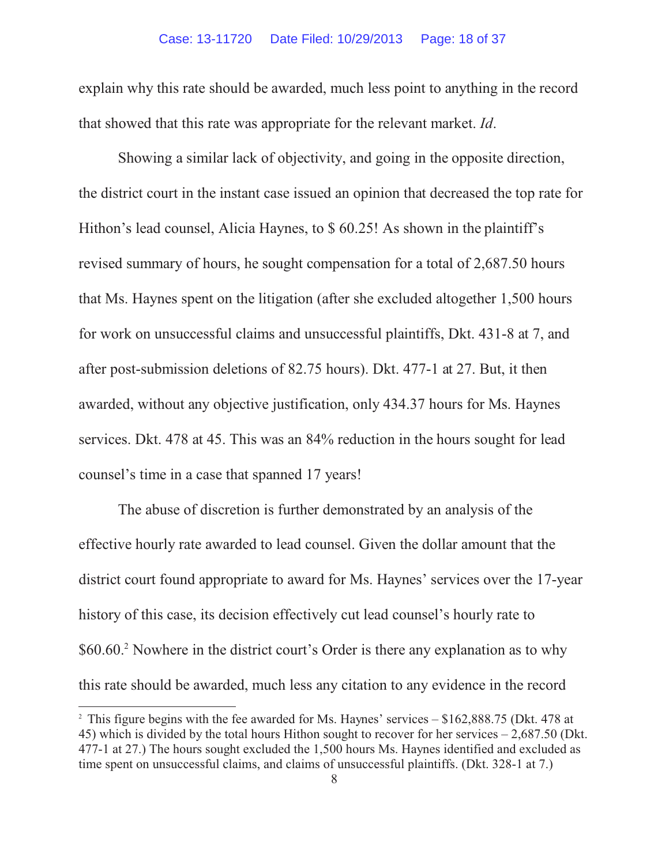#### Case: 13-11720 Date Filed: 10/29/2013 Page: 18 of 37

explain why this rate should be awarded, much less point to anything in the record that showed that this rate was appropriate for the relevant market. *Id*.

Showing a similar lack of objectivity, and going in the opposite direction, the district court in the instant case issued an opinion that decreased the top rate for Hithon's lead counsel, Alicia Haynes, to \$ 60.25! As shown in the plaintiff's revised summary of hours, he sought compensation for a total of 2,687.50 hours that Ms. Haynes spent on the litigation (after she excluded altogether 1,500 hours for work on unsuccessful claims and unsuccessful plaintiffs, Dkt. 431-8 at 7, and after post-submission deletions of 82.75 hours). Dkt. 477-1 at 27. But, it then awarded, without any objective justification, only 434.37 hours for Ms. Haynes services. Dkt. 478 at 45. This was an 84% reduction in the hours sought for lead counsel's time in a case that spanned 17 years!

The abuse of discretion is further demonstrated by an analysis of the effective hourly rate awarded to lead counsel. Given the dollar amount that the district court found appropriate to award for Ms. Haynes' services over the 17-year history of this case, its decision effectively cut lead counsel's hourly rate to \$60.60.<sup>2</sup> Nowhere in the district court's Order is there any explanation as to why this rate should be awarded, much less any citation to any evidence in the record

<sup>&</sup>lt;sup>2</sup> This figure begins with the fee awarded for Ms. Haynes' services – \$162,888.75 (Dkt. 478 at 45) which is divided by the total hours Hithon sought to recover for her services – 2,687.50 (Dkt. 477-1 at 27.) The hours sought excluded the 1,500 hours Ms. Haynes identified and excluded as time spent on unsuccessful claims, and claims of unsuccessful plaintiffs. (Dkt. 328-1 at 7.)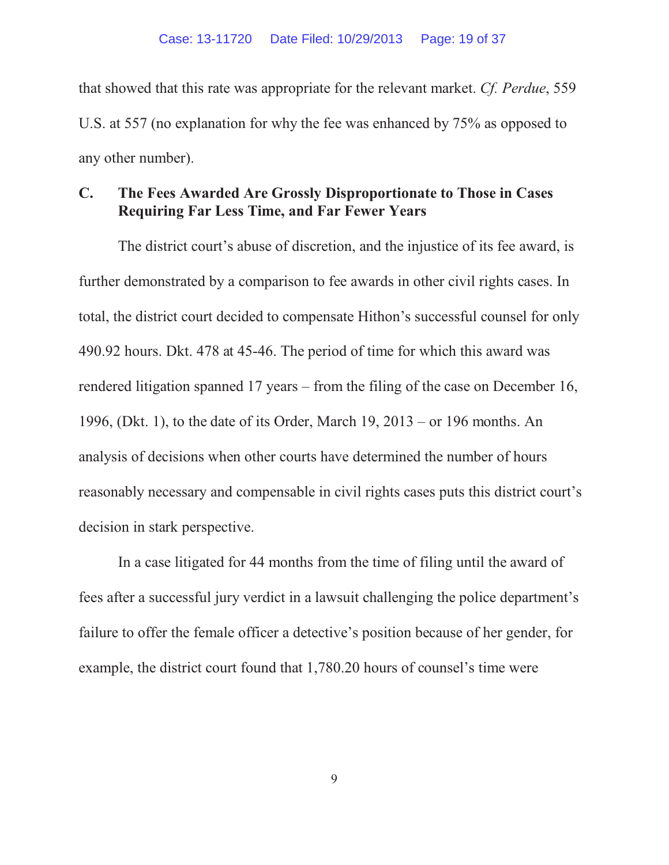that showed that this rate was appropriate for the relevant market. *Cf. Perdue*, 559 U.S. at 557 (no explanation for why the fee was enhanced by 75% as opposed to any other number).

### **C. The Fees Awarded Are Grossly Disproportionate to Those in Cases Requiring Far Less Time, and Far Fewer Years**

The district court's abuse of discretion, and the injustice of its fee award, is further demonstrated by a comparison to fee awards in other civil rights cases. In total, the district court decided to compensate Hithon's successful counsel for only 490.92 hours. Dkt. 478 at 45-46. The period of time for which this award was rendered litigation spanned 17 years – from the filing of the case on December 16, 1996, (Dkt. 1), to the date of its Order, March 19, 2013 – or 196 months. An analysis of decisions when other courts have determined the number of hours reasonably necessary and compensable in civil rights cases puts this district court's decision in stark perspective.

In a case litigated for 44 months from the time of filing until the award of fees after a successful jury verdict in a lawsuit challenging the police department's failure to offer the female officer a detective's position because of her gender, for example, the district court found that 1,780.20 hours of counsel's time were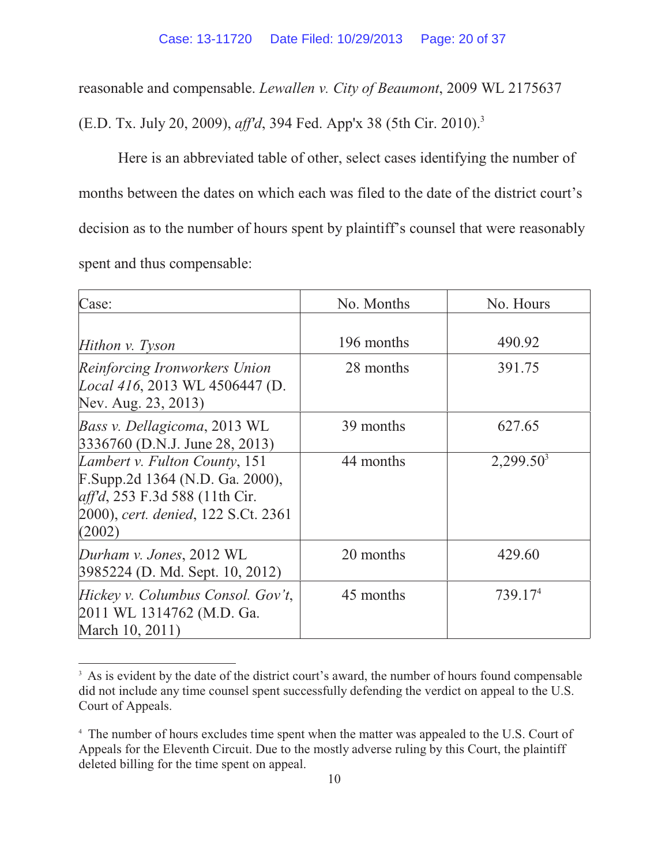reasonable and compensable. *Lewallen v. City of Beaumont*, 2009 WL 2175637

(E.D. Tx. July 20, 2009), *aff'd*, 394 Fed. App'x 38 (5th Cir. 2010).3

Here is an abbreviated table of other, select cases identifying the number of months between the dates on which each was filed to the date of the district court's decision as to the number of hours spent by plaintiff's counsel that were reasonably spent and thus compensable:

| Case:                                                                                                                                               | No. Months | No. Hours           |
|-----------------------------------------------------------------------------------------------------------------------------------------------------|------------|---------------------|
| Hithon v. Tyson                                                                                                                                     | 196 months | 490.92              |
| Reinforcing Ironworkers Union<br>Local 416, 2013 WL 4506447 (D.<br>Nev. Aug. 23, 2013)                                                              | 28 months  | 391.75              |
| <i>Bass v. Dellagicoma, 2013 WL</i><br>3336760 (D.N.J. June 28, 2013)                                                                               | 39 months  | 627.65              |
| Lambert v. Fulton County, 151<br>F.Supp.2d 1364 (N.D. Ga. 2000),<br>aff'd, 253 F.3d 588 (11th Cir.<br>2000), cert. denied, 122 S.Ct. 2361<br>(2002) | 44 months  | $2,299.50^3$        |
| Durham v. Jones, 2012 WL<br>3985224 (D. Md. Sept. 10, 2012)                                                                                         | 20 months  | 429.60              |
| Hickey v. Columbus Consol. Gov't,<br>2011 WL 1314762 (M.D. Ga.<br>March 10, 2011)                                                                   | 45 months  | 739.17 <sup>4</sup> |

<sup>&</sup>lt;sup>3</sup> As is evident by the date of the district court's award, the number of hours found compensable did not include any time counsel spent successfully defending the verdict on appeal to the U.S. Court of Appeals.

<sup>&</sup>lt;sup>4</sup> The number of hours excludes time spent when the matter was appealed to the U.S. Court of Appeals for the Eleventh Circuit. Due to the mostly adverse ruling by this Court, the plaintiff deleted billing for the time spent on appeal.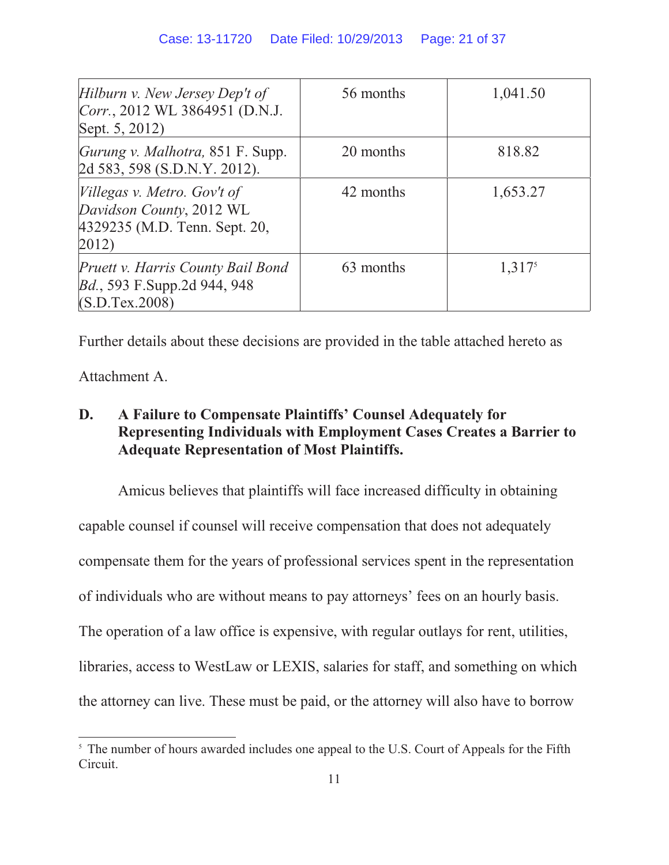| Hilburn v. New Jersey Dep't of<br>Corr., 2012 WL 3864951 (D.N.J.<br>Sept. 5, 2012)                | 56 months | 1,041.50           |
|---------------------------------------------------------------------------------------------------|-----------|--------------------|
| <i>Gurung v. Malhotra, 851 F. Supp.</i><br>2d 583, 598 (S.D.N.Y. 2012).                           | 20 months | 818.82             |
| Villegas v. Metro. Gov't of<br>Davidson County, 2012 WL<br>4329235 (M.D. Tenn. Sept. 20,<br>2012) | 42 months | 1,653.27           |
| Pruett v. Harris County Bail Bond<br><i>Bd.</i> , 593 F.Supp.2d 944, 948<br>(S.D.Tex.2008)        | 63 months | 1,317 <sup>5</sup> |

Further details about these decisions are provided in the table attached hereto as

Attachment A.

## **D. A Failure to Compensate Plaintiffs' Counsel Adequately for Representing Individuals with Employment Cases Creates a Barrier to Adequate Representation of Most Plaintiffs.**

Amicus believes that plaintiffs will face increased difficulty in obtaining capable counsel if counsel will receive compensation that does not adequately compensate them for the years of professional services spent in the representation of individuals who are without means to pay attorneys' fees on an hourly basis. The operation of a law office is expensive, with regular outlays for rent, utilities, libraries, access to WestLaw or LEXIS, salaries for staff, and something on which the attorney can live. These must be paid, or the attorney will also have to borrow

<sup>&</sup>lt;sup>5</sup> The number of hours awarded includes one appeal to the U.S. Court of Appeals for the Fifth Circuit.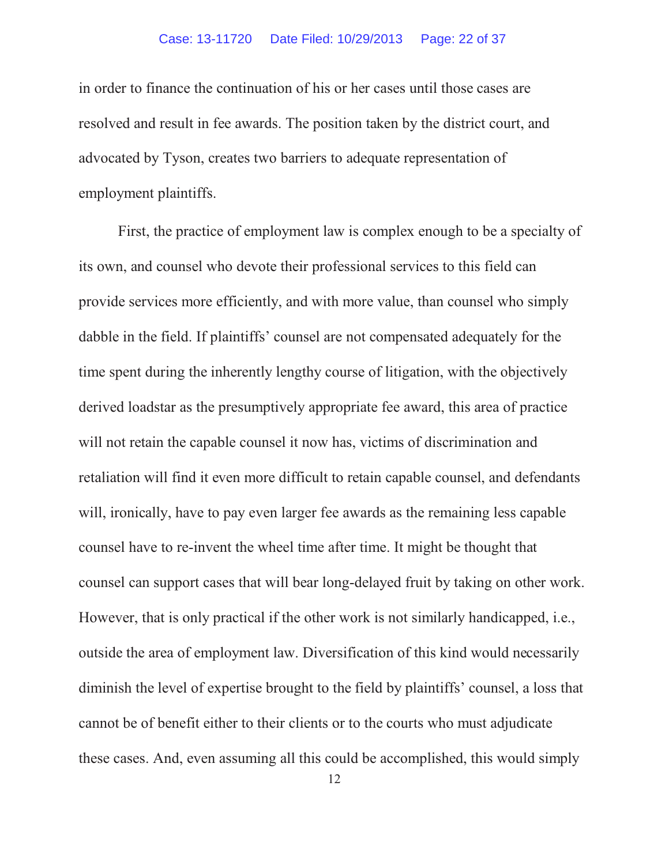#### Case: 13-11720 Date Filed: 10/29/2013 Page: 22 of 37

in order to finance the continuation of his or her cases until those cases are resolved and result in fee awards. The position taken by the district court, and advocated by Tyson, creates two barriers to adequate representation of employment plaintiffs.

First, the practice of employment law is complex enough to be a specialty of its own, and counsel who devote their professional services to this field can provide services more efficiently, and with more value, than counsel who simply dabble in the field. If plaintiffs' counsel are not compensated adequately for the time spent during the inherently lengthy course of litigation, with the objectively derived loadstar as the presumptively appropriate fee award, this area of practice will not retain the capable counsel it now has, victims of discrimination and retaliation will find it even more difficult to retain capable counsel, and defendants will, ironically, have to pay even larger fee awards as the remaining less capable counsel have to re-invent the wheel time after time. It might be thought that counsel can support cases that will bear long-delayed fruit by taking on other work. However, that is only practical if the other work is not similarly handicapped, i.e., outside the area of employment law. Diversification of this kind would necessarily diminish the level of expertise brought to the field by plaintiffs' counsel, a loss that cannot be of benefit either to their clients or to the courts who must adjudicate these cases. And, even assuming all this could be accomplished, this would simply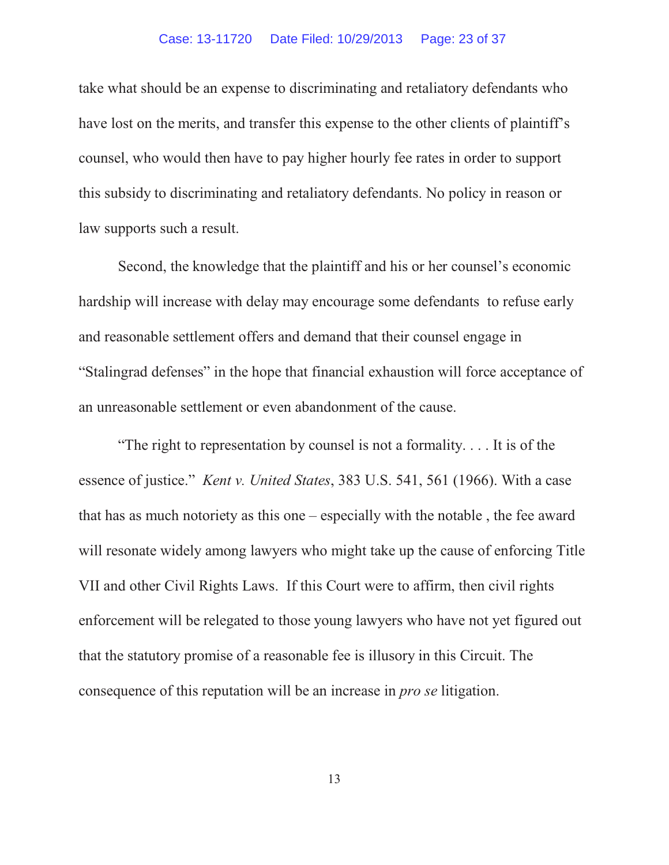#### Case: 13-11720 Date Filed: 10/29/2013 Page: 23 of 37

take what should be an expense to discriminating and retaliatory defendants who have lost on the merits, and transfer this expense to the other clients of plaintiff's counsel, who would then have to pay higher hourly fee rates in order to support this subsidy to discriminating and retaliatory defendants. No policy in reason or law supports such a result.

Second, the knowledge that the plaintiff and his or her counsel's economic hardship will increase with delay may encourage some defendants to refuse early and reasonable settlement offers and demand that their counsel engage in "Stalingrad defenses" in the hope that financial exhaustion will force acceptance of an unreasonable settlement or even abandonment of the cause.

"The right to representation by counsel is not a formality. . . . It is of the essence of justice." *Kent v. United States*, 383 U.S. 541, 561 (1966). With a case that has as much notoriety as this one – especially with the notable , the fee award will resonate widely among lawyers who might take up the cause of enforcing Title VII and other Civil Rights Laws. If this Court were to affirm, then civil rights enforcement will be relegated to those young lawyers who have not yet figured out that the statutory promise of a reasonable fee is illusory in this Circuit. The consequence of this reputation will be an increase in *pro se* litigation.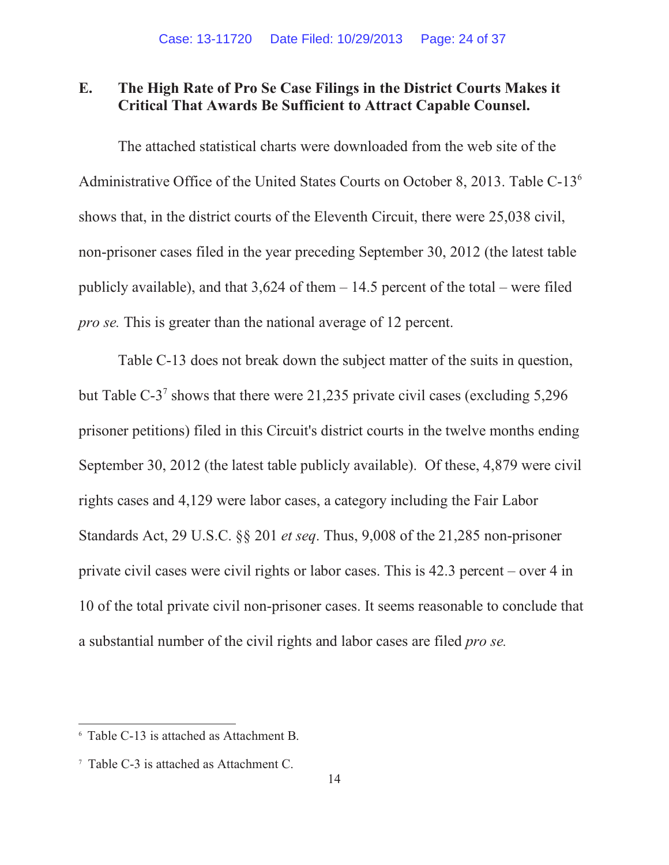### **E. The High Rate of Pro Se Case Filings in the District Courts Makes it Critical That Awards Be Sufficient to Attract Capable Counsel.**

The attached statistical charts were downloaded from the web site of the Administrative Office of the United States Courts on October 8, 2013. Table C-136 shows that, in the district courts of the Eleventh Circuit, there were 25,038 civil, non-prisoner cases filed in the year preceding September 30, 2012 (the latest table publicly available), and that  $3,624$  of them  $-14.5$  percent of the total – were filed *pro se.* This is greater than the national average of 12 percent.

Table C-13 does not break down the subject matter of the suits in question, but Table C-3<sup>7</sup> shows that there were 21,235 private civil cases (excluding 5,296) prisoner petitions) filed in this Circuit's district courts in the twelve months ending September 30, 2012 (the latest table publicly available). Of these, 4,879 were civil rights cases and 4,129 were labor cases, a category including the Fair Labor Standards Act, 29 U.S.C. §§ 201 *et seq*. Thus, 9,008 of the 21,285 non-prisoner private civil cases were civil rights or labor cases. This is 42.3 percent – over 4 in 10 of the total private civil non-prisoner cases. It seems reasonable to conclude that a substantial number of the civil rights and labor cases are filed *pro se.*

<sup>6</sup> Table C-13 is attached as Attachment B.

<sup>7</sup> Table C-3 is attached as Attachment C.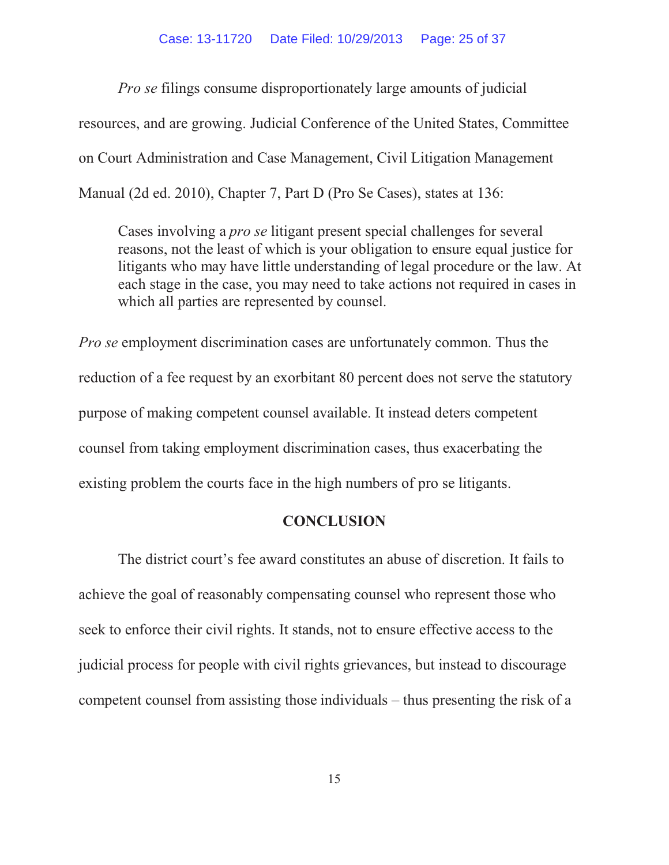#### Case: 13-11720 Date Filed: 10/29/2013 Page: 25 of 37

*Pro se* filings consume disproportionately large amounts of judicial resources, and are growing. Judicial Conference of the United States, Committee on Court Administration and Case Management, Civil Litigation Management Manual (2d ed. 2010), Chapter 7, Part D (Pro Se Cases), states at 136:

Cases involving a *pro se* litigant present special challenges for several reasons, not the least of which is your obligation to ensure equal justice for litigants who may have little understanding of legal procedure or the law. At each stage in the case, you may need to take actions not required in cases in which all parties are represented by counsel.

*Pro se* employment discrimination cases are unfortunately common. Thus the reduction of a fee request by an exorbitant 80 percent does not serve the statutory purpose of making competent counsel available. It instead deters competent counsel from taking employment discrimination cases, thus exacerbating the existing problem the courts face in the high numbers of pro se litigants.

#### **CONCLUSION**

The district court's fee award constitutes an abuse of discretion. It fails to achieve the goal of reasonably compensating counsel who represent those who seek to enforce their civil rights. It stands, not to ensure effective access to the judicial process for people with civil rights grievances, but instead to discourage competent counsel from assisting those individuals – thus presenting the risk of a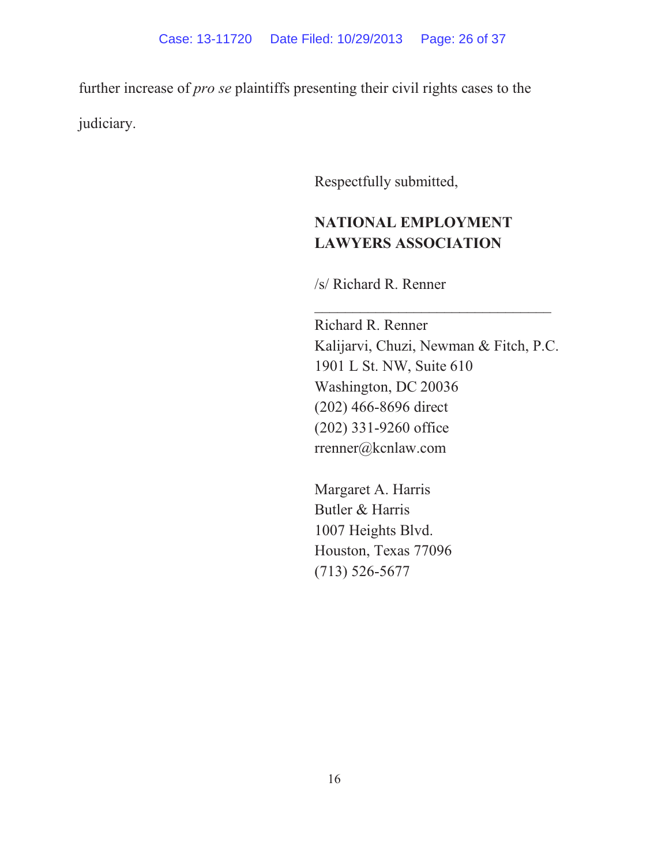further increase of *pro se* plaintiffs presenting their civil rights cases to the judiciary.

Respectfully submitted,

# **NATIONAL EMPLOYMENT LAWYERS ASSOCIATION**

/s/ Richard R. Renner

Richard R. Renner Kalijarvi, Chuzi, Newman & Fitch, P.C. 1901 L St. NW, Suite 610 Washington, DC 20036 (202) 466-8696 direct (202) 331-9260 office rrenner@kcnlaw.com

 $\mathcal{L}_\mathcal{L}$  , which is a set of the set of the set of the set of the set of the set of the set of the set of the set of the set of the set of the set of the set of the set of the set of the set of the set of the set of

Margaret A. Harris Butler & Harris 1007 Heights Blvd. Houston, Texas 77096 (713) 526-5677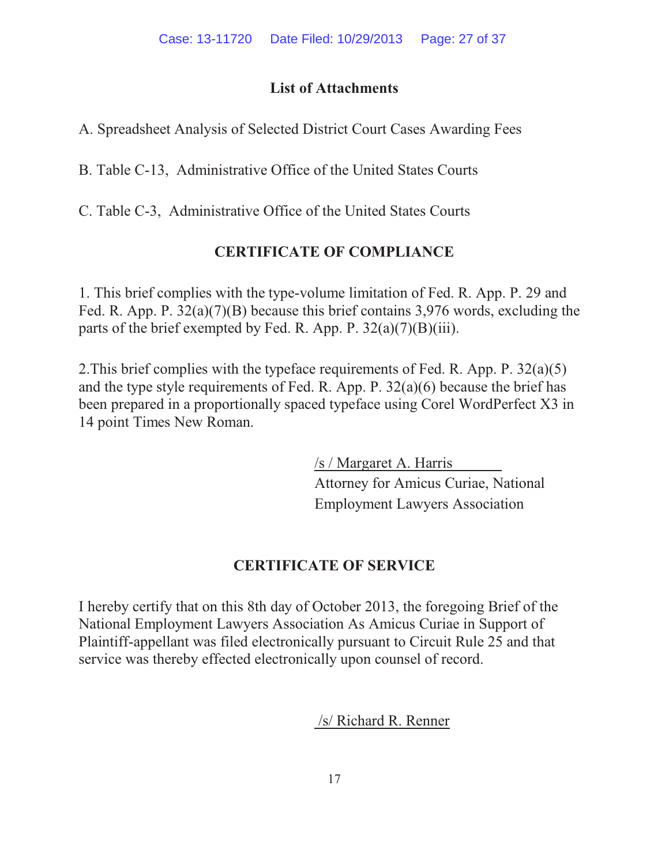### **List of Attachments**

A. Spreadsheet Analysis of Selected District Court Cases Awarding Fees

B. Table C-13, Administrative Office of the United States Courts

C. Table C-3, Administrative Office of the United States Courts

# **CERTIFICATE OF COMPLIANCE**

1. This brief complies with the type-volume limitation of Fed. R. App. P. 29 and Fed. R. App. P. 32(a)(7)(B) because this brief contains 3,976 words, excluding the parts of the brief exempted by Fed. R. App. P.  $32(a)(7)(B)(iii)$ .

2.This brief complies with the typeface requirements of Fed. R. App. P. 32(a)(5) and the type style requirements of Fed. R. App. P. 32(a)(6) because the brief has been prepared in a proportionally spaced typeface using Corel WordPerfect X3 in 14 point Times New Roman.

> /s / Margaret A. Harris Attorney for Amicus Curiae, National Employment Lawyers Association

# **CERTIFICATE OF SERVICE**

I hereby certify that on this 8th day of October 2013, the foregoing Brief of the National Employment Lawyers Association As Amicus Curiae in Support of Plaintiff-appellant was filed electronically pursuant to Circuit Rule 25 and that service was thereby effected electronically upon counsel of record.

/s/ Richard R. Renner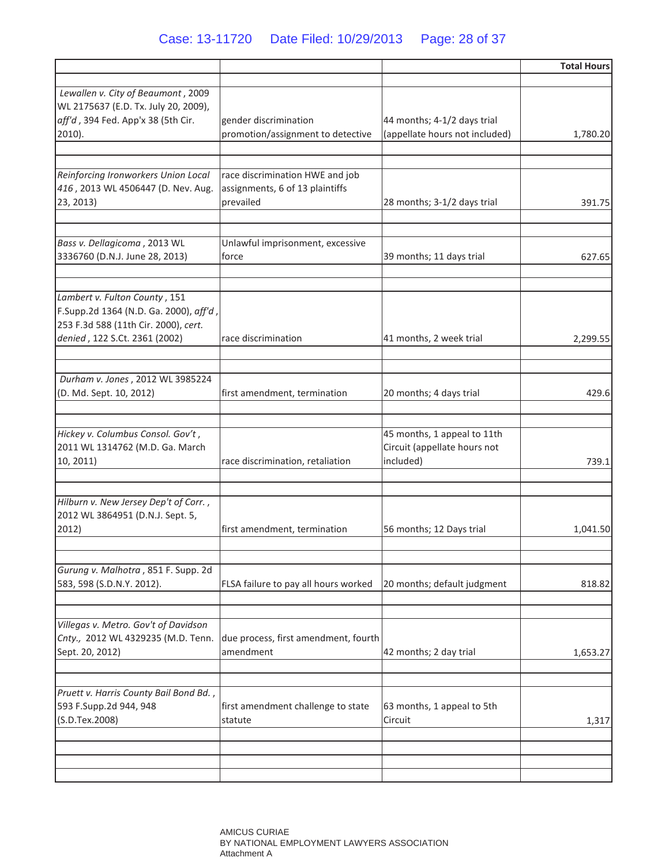### Case: 13-11720 Date Filed: 10/29/2013 Page: 28 of 37

|                                                                                                                                                  |                                                                                 |                                                                          | <b>Total Hours</b> |
|--------------------------------------------------------------------------------------------------------------------------------------------------|---------------------------------------------------------------------------------|--------------------------------------------------------------------------|--------------------|
| Lewallen v. City of Beaumont, 2009                                                                                                               |                                                                                 |                                                                          |                    |
| WL 2175637 (E.D. Tx. July 20, 2009),<br>aff'd, 394 Fed. App'x 38 (5th Cir.<br>$2010$ ).                                                          | gender discrimination<br>promotion/assignment to detective                      | 44 months; 4-1/2 days trial<br>(appellate hours not included)            | 1,780.20           |
| Reinforcing Ironworkers Union Local<br>416, 2013 WL 4506447 (D. Nev. Aug.<br>23, 2013)                                                           | race discrimination HWE and job<br>assignments, 6 of 13 plaintiffs<br>prevailed | 28 months; 3-1/2 days trial                                              | 391.75             |
| Bass v. Dellagicoma, 2013 WL<br>3336760 (D.N.J. June 28, 2013)                                                                                   | Unlawful imprisonment, excessive<br>force                                       | 39 months; 11 days trial                                                 | 627.65             |
| Lambert v. Fulton County, 151<br>F.Supp.2d 1364 (N.D. Ga. 2000), aff'd,<br>253 F.3d 588 (11th Cir. 2000), cert.<br>denied, 122 S.Ct. 2361 (2002) | race discrimination                                                             | 41 months, 2 week trial                                                  | 2,299.55           |
| Durham v. Jones, 2012 WL 3985224<br>(D. Md. Sept. 10, 2012)                                                                                      | first amendment, termination                                                    | 20 months; 4 days trial                                                  | 429.6              |
| Hickey v. Columbus Consol. Gov't,<br>2011 WL 1314762 (M.D. Ga. March<br>10, 2011)                                                                | race discrimination, retaliation                                                | 45 months, 1 appeal to 11th<br>Circuit (appellate hours not<br>included) | 739.1              |
| Hilburn v. New Jersey Dep't of Corr.,<br>2012 WL 3864951 (D.N.J. Sept. 5,<br>2012)                                                               | first amendment, termination                                                    | 56 months; 12 Days trial                                                 | 1,041.50           |
| Gurung v. Malhotra, 851 F. Supp. 2d<br>583, 598 (S.D.N.Y. 2012).                                                                                 | FLSA failure to pay all hours worked                                            | 20 months; default judgment                                              | 818.82             |
| Villegas v. Metro. Gov't of Davidson<br>Cnty., 2012 WL 4329235 (M.D. Tenn.<br>Sept. 20, 2012)                                                    | due process, first amendment, fourth<br>amendment                               | 42 months; 2 day trial                                                   | 1,653.27           |
| Pruett v. Harris County Bail Bond Bd.,<br>593 F.Supp.2d 944, 948<br>(S.D.Tex.2008)                                                               | first amendment challenge to state<br>statute                                   | 63 months, 1 appeal to 5th<br>Circuit                                    | 1,317              |
|                                                                                                                                                  |                                                                                 |                                                                          |                    |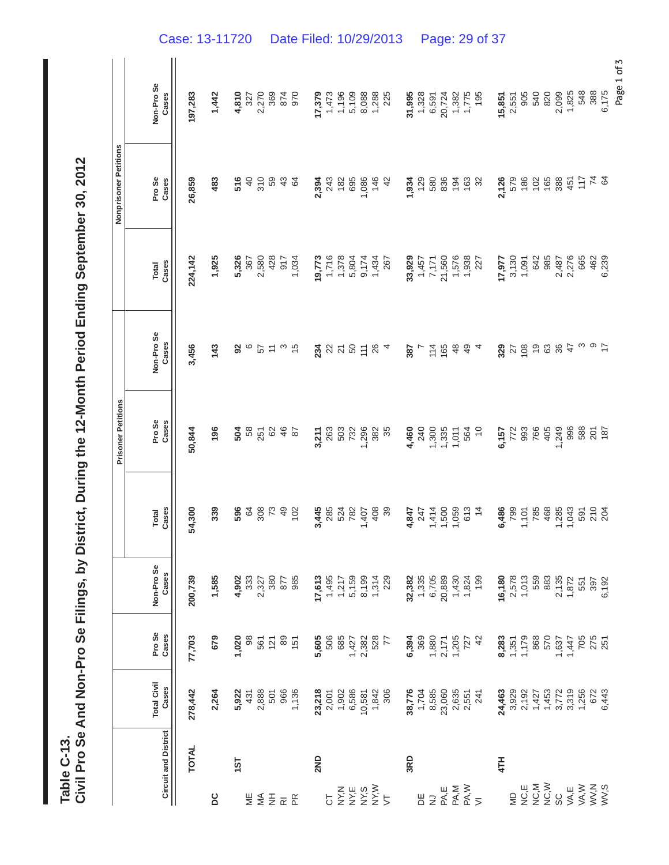| th Period Ending September 30, 2012          |
|----------------------------------------------|
|                                              |
|                                              |
|                                              |
|                                              |
|                                              |
|                                              |
|                                              |
|                                              |
|                                              |
|                                              |
| $\frac{1}{2}$                                |
|                                              |
|                                              |
|                                              |
|                                              |
|                                              |
|                                              |
|                                              |
| Se Filings, by District, During the 12-Month |
|                                              |
|                                              |
|                                              |
|                                              |
|                                              |
|                                              |
|                                              |
|                                              |
|                                              |
|                                              |
|                                              |
|                                              |
|                                              |
|                                              |
|                                              |
|                                              |
|                                              |
|                                              |

|                                                |                             |                                                                      |                       |                       |                       |                           |                         |                       | Nonprisoner Petitions |                     |  |
|------------------------------------------------|-----------------------------|----------------------------------------------------------------------|-----------------------|-----------------------|-----------------------|---------------------------|-------------------------|-----------------------|-----------------------|---------------------|--|
|                                                |                             |                                                                      |                       |                       |                       | <b>Prisoner Petitions</b> |                         |                       |                       |                     |  |
|                                                | <b>Circuit and District</b> | <b>Total Civil</b><br>Cases                                          | Pro Se<br>Cases       | Non-Pro Se<br>Cases   | Cases<br><b>Total</b> | Pro Se<br>Cases           | Non-Pro Se<br>Cases     | Cases<br><b>Total</b> | Pro Se<br>Cases       | Non-Pro Se<br>Cases |  |
|                                                | <b>TOTAL</b>                | 278,442                                                              | 77,703                | 200,739               | 54,300                | 50,844                    | 3,456                   | 224,142               | 26,859                | 197,283             |  |
| DC                                             |                             | 2,264                                                                | 679                   | 1,585                 | 339                   | 196                       | 143                     | 1,925                 | 483                   | 1,442               |  |
|                                                | 151                         | 5,922                                                                | 1,020                 | 4,902                 | 596                   | 504                       | 92                      | 5,326                 | 516                   | 4,810               |  |
| Ψ                                              |                             | 431                                                                  | 98                    | 333                   | 64                    |                           | ဖ                       | 367                   | $\overline{4}$        | 327                 |  |
| $\lessgtr$                                     |                             | 2,888                                                                | 561                   | 2,327                 | 308                   | 58<br>251                 | 57                      | 2,580                 | 310                   | 2,270               |  |
| $\overline{z}$                                 |                             |                                                                      | 121                   | 380                   |                       | 82                        | $\tilde{t}$             | 428                   | 59                    | 369                 |  |
| $\overline{\alpha} \overset{\alpha}{\text{m}}$ |                             |                                                                      | 89                    | 877                   | $\overline{49}$       | $\frac{6}{5}$             | က                       | 917                   | 43                    | 874                 |  |
|                                                |                             | 966<br>1,136                                                         | 151                   | 985                   | 102                   | 52                        | $\frac{5}{3}$           | 1,034                 | $\mathfrak{g}$        | 970                 |  |
|                                                | 2ND                         |                                                                      | 5,605                 | 17,613                | 3,445                 | 3,211                     | 234                     | 19,773                | 2,394                 | 17,379              |  |
| 5                                              |                             |                                                                      | 506                   | 1,495                 | 285                   | 263                       | 22                      | 1,716                 | 243                   | 1,473               |  |
| NY,N                                           |                             | <b>23,218<br/>2,001</b><br>2,902<br>5886<br>506<br>506<br>506<br>306 | 685                   | 1,217                 | 524                   | 503                       | $\overline{\mathbf{2}}$ | 1,378                 | 182                   | 1,196               |  |
| NY,E                                           |                             |                                                                      |                       | 5,159                 | 782                   | 732                       |                         |                       | 695                   | 5,109               |  |
| NY, S<br>NY, W                                 |                             |                                                                      | 1,427<br>2,382        | 8,199                 | 1,407                 | 1,296                     | 8584                    | 5,804<br>9,174        | 1,086                 | 8,088               |  |
|                                                |                             |                                                                      | 528                   |                       | 408                   | 382                       |                         | 1,434                 | 146                   | 1,288               |  |
| $\overline{5}$                                 |                             |                                                                      | 77                    | 1,314<br>229          | 39                    | 35                        |                         | 267                   | $\frac{2}{3}$         | 225                 |  |
|                                                | 3RD                         | 38,776                                                               | 6,394                 | 32,382                | 4,847                 | 4,460                     | 387                     | 33,929                | 1,934                 | 31,995              |  |
| 岂                                              |                             | 1,704                                                                |                       |                       | 247                   |                           | $\overline{a}$          | 1,457                 | 129                   | 1,328               |  |
| $\overline{z}$                                 |                             | 8,585                                                                | 369<br>1,880          | 1,335<br>6,705        | 1,414                 | 1,305<br>1,305<br>1,011   | 114                     | 7,171                 | 580                   | 6,591               |  |
| PA,E                                           |                             | 23,060                                                               |                       | 20,889                | 1,500                 |                           | 165                     | 21,560                | 836                   | 20,724              |  |
| PA,M                                           |                             | 2,635                                                                | 2,171<br>1,205<br>727 | 1,430<br>1,824<br>199 | 1,059                 |                           | $\frac{8}{3}$           | 1,576<br>1,938        | $194$<br>$163$        | 1,382               |  |
| PA, W                                          |                             | 2,551                                                                |                       |                       | 613                   | 564                       | $\frac{9}{4}$           |                       |                       | 1,775               |  |
| $\overline{z}$                                 |                             | 241                                                                  | 42                    |                       | $\frac{4}{3}$         | $\approx$                 | 4                       | 227                   | 32                    | 195                 |  |
|                                                | 4TH                         | 24,463                                                               | 8,283                 | 16,180                | 6,486                 | 6,157                     | 329                     | 17,977                | 2,126                 | 15,851              |  |
| $\frac{D}{2}$                                  |                             |                                                                      |                       |                       | 799                   |                           | 27                      |                       | 579                   | 2,551               |  |
| NC,E                                           |                             | 3,929<br>2,192                                                       | $1,351$<br>$1,179$    | 2,578<br>1,013        | 1,101                 | 772<br>993                | 108                     | $3,130$<br>1,091      | 186                   | 905                 |  |
| NC,M                                           |                             | 1,427                                                                | 868                   | 559                   | 785                   | 766                       | $\frac{6}{5}$           | 642                   | 102                   | 540                 |  |
| NC, W                                          |                             |                                                                      | 570                   | 883                   | 468                   | 405                       | 63                      | 985                   | 165                   | 820                 |  |
| ပ္တ                                            |                             | $1,453$<br>3,772                                                     | 1,637                 | 2,135                 | 1,285                 | 1,249                     | 36                      | 2,487                 | 388                   | 2,099               |  |
| VA,E                                           |                             |                                                                      | 1,447                 | 1,872                 | 1,043                 | 996                       | 47                      | 2,276                 | 451                   | 1,825               |  |
| VA, W                                          |                             | 3,319<br>1,256                                                       | 705                   | 551                   | 591                   | 588                       | က                       | 665                   | $\frac{1}{2}$         | 548                 |  |
| $W$ , $W$                                      |                             | 672                                                                  | 275<br>251            | 397<br>6,192          | 210                   | 201                       | တ                       | 462                   | $\overline{7}$        | 388                 |  |
|                                                |                             | 6,443                                                                |                       |                       | 204                   | 187                       | $\overline{1}$          | 6,239                 | 84                    | 6,175               |  |
|                                                |                             |                                                                      |                       |                       |                       |                           |                         |                       |                       | Page 1 of 3         |  |

Case: 13-11720 Date Filed: 10/29/2013 Page: 29 of 37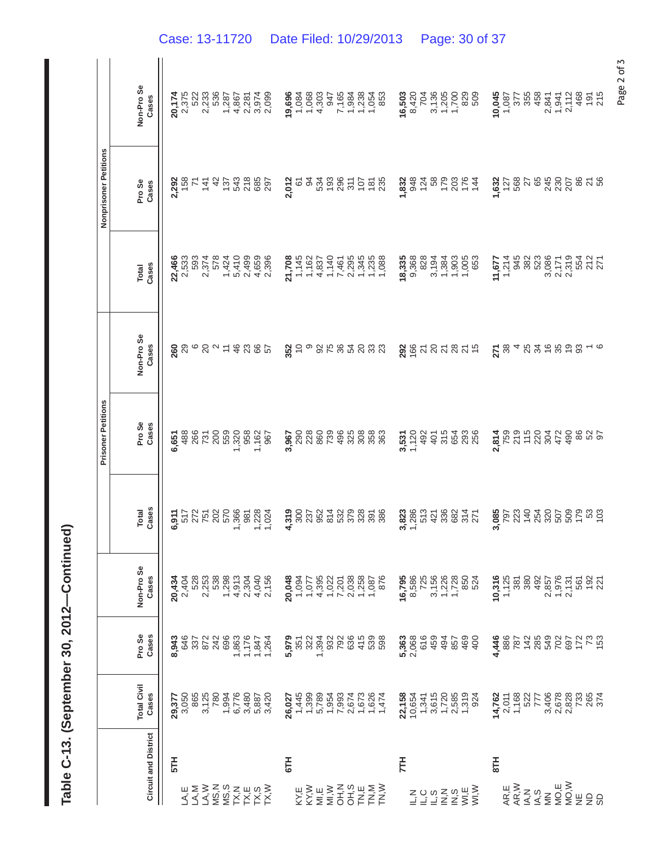|                                                                                                                                                                                                                                                                                                                                                                                                                                                                                                              |                                                                                                                                     |                                                          |                                                                                                                                                                                                                                                                                                 |                                                                                                                                                                                                                                            | <b>Prisoner Petitions</b>                                                                                                                                                                                                                                                                                                                            |                      |                                                                                                                                                                                                                                                                                                    | Nonprisoner Petitions                         |                                                                                                                                                                                          |
|--------------------------------------------------------------------------------------------------------------------------------------------------------------------------------------------------------------------------------------------------------------------------------------------------------------------------------------------------------------------------------------------------------------------------------------------------------------------------------------------------------------|-------------------------------------------------------------------------------------------------------------------------------------|----------------------------------------------------------|-------------------------------------------------------------------------------------------------------------------------------------------------------------------------------------------------------------------------------------------------------------------------------------------------|--------------------------------------------------------------------------------------------------------------------------------------------------------------------------------------------------------------------------------------------|------------------------------------------------------------------------------------------------------------------------------------------------------------------------------------------------------------------------------------------------------------------------------------------------------------------------------------------------------|----------------------|----------------------------------------------------------------------------------------------------------------------------------------------------------------------------------------------------------------------------------------------------------------------------------------------------|-----------------------------------------------|------------------------------------------------------------------------------------------------------------------------------------------------------------------------------------------|
|                                                                                                                                                                                                                                                                                                                                                                                                                                                                                                              |                                                                                                                                     |                                                          |                                                                                                                                                                                                                                                                                                 |                                                                                                                                                                                                                                            |                                                                                                                                                                                                                                                                                                                                                      |                      |                                                                                                                                                                                                                                                                                                    |                                               |                                                                                                                                                                                          |
| <b>Circuit and District</b>                                                                                                                                                                                                                                                                                                                                                                                                                                                                                  | <b>Total Civil</b><br>Cases                                                                                                         | Pro Se<br>Cases                                          | Non-Pro Se<br>Cases                                                                                                                                                                                                                                                                             | Cases<br><b>Total</b>                                                                                                                                                                                                                      | Pro Se<br>Cases                                                                                                                                                                                                                                                                                                                                      | Non-Pro Se<br>Cases  | Cases<br>Total                                                                                                                                                                                                                                                                                     | Pro Se<br>Cases                               | Non-Pro Se<br>Cases                                                                                                                                                                      |
|                                                                                                                                                                                                                                                                                                                                                                                                                                                                                                              |                                                                                                                                     |                                                          |                                                                                                                                                                                                                                                                                                 |                                                                                                                                                                                                                                            |                                                                                                                                                                                                                                                                                                                                                      |                      |                                                                                                                                                                                                                                                                                                    |                                               |                                                                                                                                                                                          |
| $\overline{5}$                                                                                                                                                                                                                                                                                                                                                                                                                                                                                               |                                                                                                                                     | 8,943                                                    | 20,434                                                                                                                                                                                                                                                                                          |                                                                                                                                                                                                                                            | 6,651                                                                                                                                                                                                                                                                                                                                                |                      | 22,466                                                                                                                                                                                                                                                                                             |                                               | 20,174                                                                                                                                                                                   |
| A, E                                                                                                                                                                                                                                                                                                                                                                                                                                                                                                         |                                                                                                                                     |                                                          | 2,404                                                                                                                                                                                                                                                                                           |                                                                                                                                                                                                                                            |                                                                                                                                                                                                                                                                                                                                                      |                      |                                                                                                                                                                                                                                                                                                    |                                               | 2,375                                                                                                                                                                                    |
| AA, M                                                                                                                                                                                                                                                                                                                                                                                                                                                                                                        |                                                                                                                                     |                                                          | 528                                                                                                                                                                                                                                                                                             |                                                                                                                                                                                                                                            |                                                                                                                                                                                                                                                                                                                                                      |                      |                                                                                                                                                                                                                                                                                                    |                                               |                                                                                                                                                                                          |
| LA, W                                                                                                                                                                                                                                                                                                                                                                                                                                                                                                        |                                                                                                                                     |                                                          |                                                                                                                                                                                                                                                                                                 |                                                                                                                                                                                                                                            |                                                                                                                                                                                                                                                                                                                                                      |                      |                                                                                                                                                                                                                                                                                                    |                                               |                                                                                                                                                                                          |
|                                                                                                                                                                                                                                                                                                                                                                                                                                                                                                              |                                                                                                                                     |                                                          |                                                                                                                                                                                                                                                                                                 |                                                                                                                                                                                                                                            |                                                                                                                                                                                                                                                                                                                                                      |                      |                                                                                                                                                                                                                                                                                                    |                                               |                                                                                                                                                                                          |
|                                                                                                                                                                                                                                                                                                                                                                                                                                                                                                              |                                                                                                                                     | <b>4672368</b><br>687248                                 |                                                                                                                                                                                                                                                                                                 |                                                                                                                                                                                                                                            |                                                                                                                                                                                                                                                                                                                                                      |                      |                                                                                                                                                                                                                                                                                                    |                                               |                                                                                                                                                                                          |
|                                                                                                                                                                                                                                                                                                                                                                                                                                                                                                              |                                                                                                                                     |                                                          |                                                                                                                                                                                                                                                                                                 |                                                                                                                                                                                                                                            |                                                                                                                                                                                                                                                                                                                                                      |                      |                                                                                                                                                                                                                                                                                                    |                                               |                                                                                                                                                                                          |
|                                                                                                                                                                                                                                                                                                                                                                                                                                                                                                              |                                                                                                                                     |                                                          |                                                                                                                                                                                                                                                                                                 |                                                                                                                                                                                                                                            |                                                                                                                                                                                                                                                                                                                                                      |                      |                                                                                                                                                                                                                                                                                                    |                                               |                                                                                                                                                                                          |
|                                                                                                                                                                                                                                                                                                                                                                                                                                                                                                              |                                                                                                                                     |                                                          |                                                                                                                                                                                                                                                                                                 |                                                                                                                                                                                                                                            |                                                                                                                                                                                                                                                                                                                                                      |                      |                                                                                                                                                                                                                                                                                                    |                                               |                                                                                                                                                                                          |
| Z S Z H S N<br>S S X X X X<br>Z S Z H S N                                                                                                                                                                                                                                                                                                                                                                                                                                                                    | $29.377$<br>$29.688$<br>$68.887$<br>$68.89$<br>$68.89$<br>$68.82$<br>$68.82$<br>$68.82$<br>$68.82$<br>$68.82$<br>$68.82$<br>$68.82$ | 1,863<br>1,847<br>1,847<br>1,264                         | 2<br>2008 2010<br>2010 2010<br>2010 2010 2010                                                                                                                                                                                                                                                   | <b>6,91</b><br>5725022665283<br>6,9250269<br>6,924                                                                                                                                                                                         |                                                                                                                                                                                                                                                                                                                                                      |                      |                                                                                                                                                                                                                                                                                                    | <b>238</b><br>1587 1546<br>2887 1688 1680     |                                                                                                                                                                                          |
| 6TH                                                                                                                                                                                                                                                                                                                                                                                                                                                                                                          |                                                                                                                                     |                                                          |                                                                                                                                                                                                                                                                                                 |                                                                                                                                                                                                                                            |                                                                                                                                                                                                                                                                                                                                                      |                      |                                                                                                                                                                                                                                                                                                    | 2,012                                         |                                                                                                                                                                                          |
| KY,E                                                                                                                                                                                                                                                                                                                                                                                                                                                                                                         |                                                                                                                                     | <b>0,000 1000 1000</b><br>0,0000 1000<br>0,000 1000 1000 |                                                                                                                                                                                                                                                                                                 |                                                                                                                                                                                                                                            |                                                                                                                                                                                                                                                                                                                                                      | 352                  |                                                                                                                                                                                                                                                                                                    |                                               |                                                                                                                                                                                          |
|                                                                                                                                                                                                                                                                                                                                                                                                                                                                                                              |                                                                                                                                     |                                                          |                                                                                                                                                                                                                                                                                                 |                                                                                                                                                                                                                                            |                                                                                                                                                                                                                                                                                                                                                      | $\circ$              |                                                                                                                                                                                                                                                                                                    | 24                                            |                                                                                                                                                                                          |
|                                                                                                                                                                                                                                                                                                                                                                                                                                                                                                              |                                                                                                                                     |                                                          |                                                                                                                                                                                                                                                                                                 |                                                                                                                                                                                                                                            |                                                                                                                                                                                                                                                                                                                                                      |                      |                                                                                                                                                                                                                                                                                                    |                                               |                                                                                                                                                                                          |
|                                                                                                                                                                                                                                                                                                                                                                                                                                                                                                              |                                                                                                                                     |                                                          |                                                                                                                                                                                                                                                                                                 |                                                                                                                                                                                                                                            |                                                                                                                                                                                                                                                                                                                                                      |                      |                                                                                                                                                                                                                                                                                                    |                                               |                                                                                                                                                                                          |
|                                                                                                                                                                                                                                                                                                                                                                                                                                                                                                              |                                                                                                                                     |                                                          |                                                                                                                                                                                                                                                                                                 |                                                                                                                                                                                                                                            |                                                                                                                                                                                                                                                                                                                                                      |                      |                                                                                                                                                                                                                                                                                                    |                                               |                                                                                                                                                                                          |
|                                                                                                                                                                                                                                                                                                                                                                                                                                                                                                              |                                                                                                                                     |                                                          |                                                                                                                                                                                                                                                                                                 |                                                                                                                                                                                                                                            |                                                                                                                                                                                                                                                                                                                                                      |                      |                                                                                                                                                                                                                                                                                                    |                                               |                                                                                                                                                                                          |
|                                                                                                                                                                                                                                                                                                                                                                                                                                                                                                              |                                                                                                                                     |                                                          |                                                                                                                                                                                                                                                                                                 |                                                                                                                                                                                                                                            |                                                                                                                                                                                                                                                                                                                                                      |                      |                                                                                                                                                                                                                                                                                                    |                                               |                                                                                                                                                                                          |
|                                                                                                                                                                                                                                                                                                                                                                                                                                                                                                              |                                                                                                                                     |                                                          |                                                                                                                                                                                                                                                                                                 |                                                                                                                                                                                                                                            |                                                                                                                                                                                                                                                                                                                                                      |                      |                                                                                                                                                                                                                                                                                                    |                                               |                                                                                                                                                                                          |
|                                                                                                                                                                                                                                                                                                                                                                                                                                                                                                              |                                                                                                                                     | 4598                                                     |                                                                                                                                                                                                                                                                                                 | $\frac{9}{3}$<br>$\frac{8}{3}$<br>$\frac{8}{3}$<br>$\frac{8}{3}$<br>$\frac{8}{3}$<br>$\frac{8}{3}$<br>$\frac{8}{3}$<br>$\frac{8}{3}$<br>$\frac{8}{3}$<br>$\frac{8}{3}$<br>$\frac{8}{3}$<br>$\frac{8}{3}$<br>$\frac{8}{3}$<br>$\frac{8}{3}$ | $\frac{6}{3}$<br>$\frac{6}{3}$<br>$\frac{6}{3}$<br>$\frac{6}{3}$<br>$\frac{6}{3}$<br>$\frac{6}{3}$<br>$\frac{6}{3}$<br>$\frac{6}{3}$<br>$\frac{6}{3}$<br>$\frac{6}{3}$<br>$\frac{6}{3}$<br>$\frac{6}{3}$<br>$\frac{6}{3}$<br>$\frac{6}{3}$<br>$\frac{6}{3}$<br>$\frac{6}{3}$<br>$\frac{6}{3}$<br>$\frac{6}{3}$<br>$\frac{6}{3}$<br>$\frac{6}{3}$<br> | 3 K 3 4 5 3 3 3      |                                                                                                                                                                                                                                                                                                    | 53967055<br>5985055                           |                                                                                                                                                                                          |
|                                                                                                                                                                                                                                                                                                                                                                                                                                                                                                              |                                                                                                                                     |                                                          |                                                                                                                                                                                                                                                                                                 |                                                                                                                                                                                                                                            |                                                                                                                                                                                                                                                                                                                                                      |                      |                                                                                                                                                                                                                                                                                                    |                                               |                                                                                                                                                                                          |
| FΗ                                                                                                                                                                                                                                                                                                                                                                                                                                                                                                           | $22.758470.64770.67770.67770.68870.67370.68470.68470.684$                                                                           |                                                          | $\begin{array}{l} 16,795 \\ 8,586 \\ 7,725 \\ 8,720 \\ 7,720 \\ 8,720 \\ 7,720 \\ 8,60 \\ 7,720 \\ 8,720 \\ 9,80 \\ 10,720 \\ 10,720 \\ 10,720 \\ 10,720 \\ 10,720 \\ 10,720 \\ 10,720 \\ 10,720 \\ 10,720 \\ 10,720 \\ 10,720 \\ 10,720 \\ 10,720 \\ 10,720 \\ 10,720 \\ 10,720 \\ 10,720 \\ $ | $3889.7588277$<br>$72598277$<br>$72598277$                                                                                                                                                                                                 |                                                                                                                                                                                                                                                                                                                                                      | <b>ន</b> ូមសង្គរ ដូច | <b>18,335<br/> 9,368</b><br>9,3624<br>9,364<br>9,905<br>9,905<br>9,905<br>9,905<br>9,905<br>9,905<br>9,905<br>9,905<br>9,905<br>9,905<br>9,905<br>9,905<br>9,905<br>9,905<br>9,905<br>9,905<br>9,905<br>9,905<br>9,905<br>9,905<br>9,905<br>9,905<br>9,905<br>9,905<br>9,905<br>9,905<br>9,905<br> | $580000004$<br>$34000000004$<br>$34000000004$ | $\begin{array}{r} \textbf{16.503} \\ \textbf{8.420} \\ \textbf{8.436} \\ \textbf{704} \\ \textbf{705} \\ \textbf{8.7305} \\ \textbf{705} \\ \textbf{8.809} \\ \textbf{9.99} \end{array}$ |
|                                                                                                                                                                                                                                                                                                                                                                                                                                                                                                              |                                                                                                                                     |                                                          |                                                                                                                                                                                                                                                                                                 |                                                                                                                                                                                                                                            |                                                                                                                                                                                                                                                                                                                                                      |                      |                                                                                                                                                                                                                                                                                                    |                                               |                                                                                                                                                                                          |
|                                                                                                                                                                                                                                                                                                                                                                                                                                                                                                              |                                                                                                                                     |                                                          |                                                                                                                                                                                                                                                                                                 |                                                                                                                                                                                                                                            |                                                                                                                                                                                                                                                                                                                                                      |                      |                                                                                                                                                                                                                                                                                                    |                                               |                                                                                                                                                                                          |
|                                                                                                                                                                                                                                                                                                                                                                                                                                                                                                              |                                                                                                                                     |                                                          |                                                                                                                                                                                                                                                                                                 |                                                                                                                                                                                                                                            |                                                                                                                                                                                                                                                                                                                                                      |                      |                                                                                                                                                                                                                                                                                                    |                                               |                                                                                                                                                                                          |
|                                                                                                                                                                                                                                                                                                                                                                                                                                                                                                              |                                                                                                                                     |                                                          |                                                                                                                                                                                                                                                                                                 |                                                                                                                                                                                                                                            |                                                                                                                                                                                                                                                                                                                                                      |                      |                                                                                                                                                                                                                                                                                                    |                                               |                                                                                                                                                                                          |
|                                                                                                                                                                                                                                                                                                                                                                                                                                                                                                              |                                                                                                                                     |                                                          |                                                                                                                                                                                                                                                                                                 |                                                                                                                                                                                                                                            |                                                                                                                                                                                                                                                                                                                                                      |                      |                                                                                                                                                                                                                                                                                                    |                                               |                                                                                                                                                                                          |
| $\begin{array}{l} \Xi \, \, \bigcirc \, \, \alpha \, \, \Xi \, \, \alpha \, \, \overline{\phantom{a}}\, \Xi \, \overline{\phantom{a}}\, \overline{\phantom{a}}\, \overline{\phantom{a}}\, \overline{\phantom{a}}\, \overline{\phantom{a}}\, \overline{\phantom{a}}\, \overline{\phantom{a}}\, \overline{\phantom{a}}\, \overline{\phantom{a}}\, \overline{\phantom{a}}\, \overline{\phantom{a}}\, \overline{\phantom{a}}\, \overline{\phantom{a}}\, \overline{\phantom{a}}\, \overline{\phantom{a}}\, \over$ |                                                                                                                                     |                                                          |                                                                                                                                                                                                                                                                                                 |                                                                                                                                                                                                                                            |                                                                                                                                                                                                                                                                                                                                                      |                      |                                                                                                                                                                                                                                                                                                    |                                               |                                                                                                                                                                                          |
|                                                                                                                                                                                                                                                                                                                                                                                                                                                                                                              |                                                                                                                                     |                                                          |                                                                                                                                                                                                                                                                                                 |                                                                                                                                                                                                                                            |                                                                                                                                                                                                                                                                                                                                                      |                      |                                                                                                                                                                                                                                                                                                    |                                               |                                                                                                                                                                                          |
| RLIS                                                                                                                                                                                                                                                                                                                                                                                                                                                                                                         |                                                                                                                                     |                                                          | 10,316                                                                                                                                                                                                                                                                                          |                                                                                                                                                                                                                                            |                                                                                                                                                                                                                                                                                                                                                      | 271                  | $11,677$<br>$1,214$                                                                                                                                                                                                                                                                                | 1,632<br>127<br>568                           |                                                                                                                                                                                          |
|                                                                                                                                                                                                                                                                                                                                                                                                                                                                                                              |                                                                                                                                     |                                                          |                                                                                                                                                                                                                                                                                                 |                                                                                                                                                                                                                                            |                                                                                                                                                                                                                                                                                                                                                      | 38                   |                                                                                                                                                                                                                                                                                                    |                                               |                                                                                                                                                                                          |
| AR,E<br>AR,W                                                                                                                                                                                                                                                                                                                                                                                                                                                                                                 |                                                                                                                                     |                                                          |                                                                                                                                                                                                                                                                                                 | $\frac{85}{225}$<br>$\frac{25}{25}$<br>$\frac{25}{25}$<br>$\frac{25}{25}$<br>$\frac{25}{25}$<br>$\frac{25}{25}$<br>$\frac{25}{25}$<br>$\frac{25}{25}$<br>$\frac{25}{25}$<br>$\frac{25}{25}$                                                |                                                                                                                                                                                                                                                                                                                                                      |                      | 945<br>382<br>523                                                                                                                                                                                                                                                                                  |                                               | 10,045<br>1,087<br>1,087<br>458<br>458                                                                                                                                                   |
|                                                                                                                                                                                                                                                                                                                                                                                                                                                                                                              |                                                                                                                                     |                                                          |                                                                                                                                                                                                                                                                                                 |                                                                                                                                                                                                                                            |                                                                                                                                                                                                                                                                                                                                                      | 25                   |                                                                                                                                                                                                                                                                                                    |                                               |                                                                                                                                                                                          |
| $\underline{A},\underline{S}$                                                                                                                                                                                                                                                                                                                                                                                                                                                                                |                                                                                                                                     |                                                          |                                                                                                                                                                                                                                                                                                 |                                                                                                                                                                                                                                            |                                                                                                                                                                                                                                                                                                                                                      | $\mathfrak{F}$       |                                                                                                                                                                                                                                                                                                    |                                               |                                                                                                                                                                                          |
| $\sum_{i=1}^{n}$                                                                                                                                                                                                                                                                                                                                                                                                                                                                                             |                                                                                                                                     |                                                          |                                                                                                                                                                                                                                                                                                 |                                                                                                                                                                                                                                            |                                                                                                                                                                                                                                                                                                                                                      | $\frac{6}{5}$        |                                                                                                                                                                                                                                                                                                    |                                               |                                                                                                                                                                                          |
| MO,E<br>MO, W                                                                                                                                                                                                                                                                                                                                                                                                                                                                                                |                                                                                                                                     |                                                          |                                                                                                                                                                                                                                                                                                 |                                                                                                                                                                                                                                            |                                                                                                                                                                                                                                                                                                                                                      | 35                   |                                                                                                                                                                                                                                                                                                    | ನ ಅಕ್ಷ ನ ನ<br>ನ ಅಕ್ಷ ನ ನ                      |                                                                                                                                                                                          |
|                                                                                                                                                                                                                                                                                                                                                                                                                                                                                                              |                                                                                                                                     |                                                          |                                                                                                                                                                                                                                                                                                 |                                                                                                                                                                                                                                            |                                                                                                                                                                                                                                                                                                                                                      | ခု ၁                 |                                                                                                                                                                                                                                                                                                    |                                               |                                                                                                                                                                                          |
| 쁮                                                                                                                                                                                                                                                                                                                                                                                                                                                                                                            |                                                                                                                                     | $44887489877700$<br>$48874898707700$                     |                                                                                                                                                                                                                                                                                                 |                                                                                                                                                                                                                                            |                                                                                                                                                                                                                                                                                                                                                      |                      | 086<br>0.77 0.85<br>0.77 0.85<br>0.85 0.87                                                                                                                                                                                                                                                         | 86                                            | 1<br>1941<br>1941<br>1952<br>1952<br>1952                                                                                                                                                |
| es a                                                                                                                                                                                                                                                                                                                                                                                                                                                                                                         |                                                                                                                                     |                                                          |                                                                                                                                                                                                                                                                                                 | ន ខ្ញ                                                                                                                                                                                                                                      |                                                                                                                                                                                                                                                                                                                                                      |                      |                                                                                                                                                                                                                                                                                                    | $\frac{21}{56}$                               |                                                                                                                                                                                          |
|                                                                                                                                                                                                                                                                                                                                                                                                                                                                                                              |                                                                                                                                     |                                                          |                                                                                                                                                                                                                                                                                                 |                                                                                                                                                                                                                                            |                                                                                                                                                                                                                                                                                                                                                      |                      |                                                                                                                                                                                                                                                                                                    |                                               |                                                                                                                                                                                          |

**Table C-13. (September 30, 2012—Continued)**  Table C-13. (September 30, 2012-Continued)

Page 2 of 3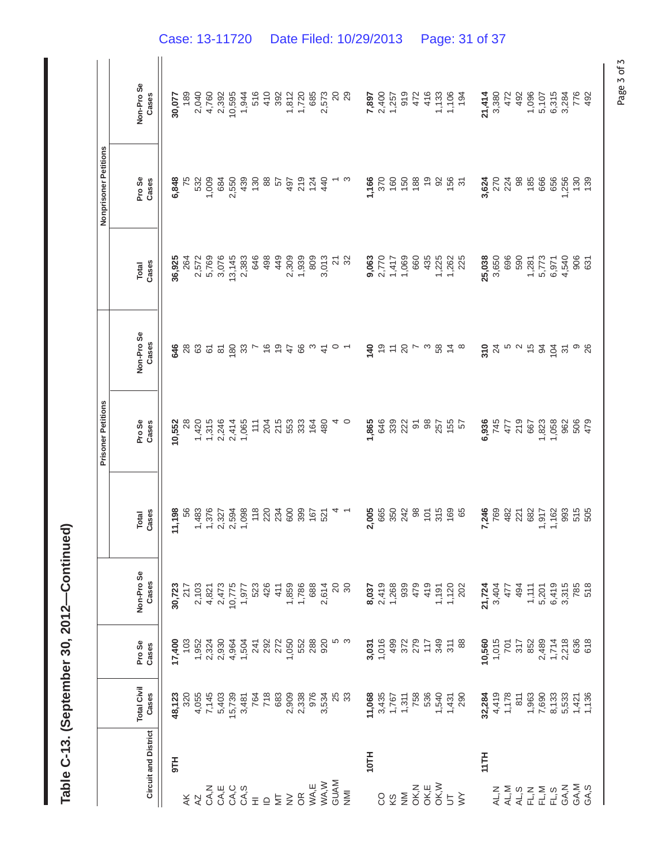|                               |                                                                                                                                                                         |                                         |                                                                                                                                                                                                                                                                                                             |                       | <b>Prisoner Petitions</b> |                         |                                | Nonprisoner Petitions |                       |
|-------------------------------|-------------------------------------------------------------------------------------------------------------------------------------------------------------------------|-----------------------------------------|-------------------------------------------------------------------------------------------------------------------------------------------------------------------------------------------------------------------------------------------------------------------------------------------------------------|-----------------------|---------------------------|-------------------------|--------------------------------|-----------------------|-----------------------|
|                               |                                                                                                                                                                         |                                         |                                                                                                                                                                                                                                                                                                             |                       |                           |                         |                                |                       |                       |
| <b>Circuit and District</b>   | <b>Total Civil</b><br>Cases                                                                                                                                             | Pro Se<br>Cases                         | Non-Pro Se<br>Cases                                                                                                                                                                                                                                                                                         | Cases<br><b>Total</b> | Pro Se<br>Cases           | Non-Pro Se<br>Cases     | Cases<br>Total                 | Pro Se<br>Cases       | Non-Pro Se<br>Cases   |
| H16                           | 48,123                                                                                                                                                                  | 17,400                                  | 30,723                                                                                                                                                                                                                                                                                                      | 11,198                | 10,552                    | 646                     | 36,925                         | 6,848                 | 30,077                |
|                               | 320                                                                                                                                                                     | 103                                     | 217                                                                                                                                                                                                                                                                                                         | 56                    | $\frac{8}{2}$             |                         | 264                            | 75                    | 189                   |
|                               |                                                                                                                                                                         |                                         |                                                                                                                                                                                                                                                                                                             |                       | 1,420                     | <b>28 &amp; 5</b>       | 2,572                          | 532                   |                       |
|                               | 4,055<br>7,145                                                                                                                                                          |                                         |                                                                                                                                                                                                                                                                                                             | 1,483<br>1,376        | 1,315                     |                         | 5,769                          | 1,009                 | 2,040<br>4,760        |
|                               |                                                                                                                                                                         |                                         |                                                                                                                                                                                                                                                                                                             | 2,327                 | 2,246                     |                         | 3,076                          | 684                   | 2,392                 |
| <br>Ψάξαξατος πεν<br>Στπονί   | 5,403<br>15,739<br>3,481                                                                                                                                                |                                         | 2,103<br>4,821<br>4,821<br>4,0775<br>1,977                                                                                                                                                                                                                                                                  | 2,594                 | 2,414                     | <b>2</b> 20 32          | 13,145                         | 2,550                 | 10,595                |
|                               |                                                                                                                                                                         |                                         |                                                                                                                                                                                                                                                                                                             | 1,098                 | 1,065                     |                         | 2,383                          | 439                   | 1,944                 |
|                               | 764<br>718 309 304<br>718 309 304<br>718 309 304<br>7534                                                                                                                |                                         | 523                                                                                                                                                                                                                                                                                                         | 118                   | 111                       |                         | 646                            | 130                   | 516                   |
|                               |                                                                                                                                                                         |                                         | 426                                                                                                                                                                                                                                                                                                         | 224<br>234            | 204                       | 69                      | 498                            | 88                    | 410                   |
|                               |                                                                                                                                                                         |                                         | 411                                                                                                                                                                                                                                                                                                         |                       | 215                       |                         | 449                            | 57                    | 392                   |
|                               |                                                                                                                                                                         |                                         |                                                                                                                                                                                                                                                                                                             |                       | 553                       | 47                      | 2,309                          | 497                   | 1,812                 |
|                               |                                                                                                                                                                         | $1050$<br>$5588$<br>$780$<br>$920$      | 1,859<br>1,786<br>688                                                                                                                                                                                                                                                                                       |                       | 333                       | 66                      | 1,939                          | 219                   | 1,720                 |
|                               |                                                                                                                                                                         |                                         |                                                                                                                                                                                                                                                                                                             |                       | $164$<br>480              |                         | 809                            | $124$<br>440          | 685                   |
|                               |                                                                                                                                                                         |                                         | 2,614                                                                                                                                                                                                                                                                                                       |                       |                           | $\ddot{+}$              | 3,013                          |                       | 2,573                 |
| <b>GUAM</b>                   | 25                                                                                                                                                                      |                                         |                                                                                                                                                                                                                                                                                                             |                       |                           |                         | 2<br>ខ                         |                       | $\overline{c}$        |
| $\overline{z}$                | ္က                                                                                                                                                                      |                                         | $\begin{array}{c} 20 \\ 30 \end{array}$                                                                                                                                                                                                                                                                     |                       |                           |                         |                                |                       | 29                    |
| 10TH                          |                                                                                                                                                                         |                                         |                                                                                                                                                                                                                                                                                                             | 2,005                 | 1,865                     | 140                     |                                | 1,166                 | 7,897                 |
|                               |                                                                                                                                                                         |                                         |                                                                                                                                                                                                                                                                                                             | 665                   | 646                       | $\frac{6}{5}$           |                                | 370                   |                       |
| 8 S                           | $11,068$<br>$1,767$<br>$-1,767$<br>$-1,768$<br>$-1,768$<br>$-1,769$<br>$-1,769$<br>$-1,769$<br>$-1,769$                                                                 | 3,031<br>1,016<br>499                   | 8,037<br>2,419<br>5,268<br>479<br>479                                                                                                                                                                                                                                                                       | 350                   | 339                       | $\overleftarrow{\cdot}$ | <b>9,063</b><br>2,770<br>1,417 | 160                   | 2,400<br>1,257        |
|                               |                                                                                                                                                                         | 372<br>279<br>117                       |                                                                                                                                                                                                                                                                                                             | 242                   | 222                       | 20                      | 1,069                          | 150                   | 919                   |
|                               |                                                                                                                                                                         |                                         |                                                                                                                                                                                                                                                                                                             |                       | $\overline{6}$            |                         | 660                            | 188                   | 472                   |
|                               |                                                                                                                                                                         |                                         | 419                                                                                                                                                                                                                                                                                                         |                       | 86                        |                         | 435                            | $\frac{6}{2}$         | 416                   |
|                               |                                                                                                                                                                         | 349                                     |                                                                                                                                                                                                                                                                                                             |                       |                           |                         | 1,225                          | $\overline{9}$        |                       |
| M<br>Mixim<br>Mixim<br>Mixima |                                                                                                                                                                         |                                         | $1,191$<br>$1,120$<br>$202$                                                                                                                                                                                                                                                                                 | 85.7008               | 755<br>155<br>57          | $\dot{4}$               | 1,262                          | $156$<br>31           | 1,133<br>1,106<br>194 |
|                               |                                                                                                                                                                         | 88                                      |                                                                                                                                                                                                                                                                                                             |                       |                           |                         | 225                            |                       |                       |
| 11TH                          |                                                                                                                                                                         | 10,560                                  |                                                                                                                                                                                                                                                                                                             | 7,246                 | 6,936                     | 310                     | 25,038                         | 3,624                 | 21,414                |
|                               |                                                                                                                                                                         |                                         | 21,724<br>3,404                                                                                                                                                                                                                                                                                             |                       | 745                       | $\overline{24}$         | 3,650                          |                       | 3,380                 |
| A<br>H A A H I<br>A A H I K   | $32.4 + 22.5$ $33.4 + 22.5$ $35.4 + 22.5$ $36.4 + 22.5$ $37.4 + 22.5$ $38.4 + 22.5$ $39.4 + 22.5$ $39.4 + 22.5$ $39.4 + 22.5$ $39.4 + 22.5$ $39.4 + 22.5$ $39.4 + 22.5$ | 1,015<br>701                            | 477                                                                                                                                                                                                                                                                                                         | 769<br>482            | 477                       | ro u                    | 696                            | 270<br>224            | 472                   |
|                               |                                                                                                                                                                         | 317                                     | 494                                                                                                                                                                                                                                                                                                         | 221                   | 219                       |                         | 590                            | $\frac{8}{6}$         | 492                   |
|                               |                                                                                                                                                                         | 852                                     |                                                                                                                                                                                                                                                                                                             | 682                   | 667                       | $\frac{5}{3}$           | 1,281                          | 185                   | 1,096                 |
|                               |                                                                                                                                                                         | 2,489<br>1,718<br>2,218<br>2,356<br>618 | $\begin{array}{c} 1,111 \\ 7,001 \\ 7,0119 \\ 6,0110 \\ 7,85 \\ 7,85 \\ 7,85 \\ 7,85 \\ 7,85 \\ 7,85 \\ 7,85 \\ 7,85 \\ 7,85 \\ 7,85 \\ 7,85 \\ 7,85 \\ 7,85 \\ 7,85 \\ 7,85 \\ 7,85 \\ 7,85 \\ 7,85 \\ 7,85 \\ 7,85 \\ 7,85 \\ 7,85 \\ 7,85 \\ 7,85 \\ 7,85 \\ 7,85 \\ 7,85 \\ 7,85 \\ 7,85 \\ 7,85 \\ 7,$ | 1,917                 | 1,823                     | $\mathfrak{A}$          | 5,773                          | 666                   | 5,107                 |
| FL, S                         |                                                                                                                                                                         |                                         |                                                                                                                                                                                                                                                                                                             | 1,162                 | 1,058                     | 104                     | 6,971                          | 656                   | 6,315                 |
| GA, N                         |                                                                                                                                                                         |                                         |                                                                                                                                                                                                                                                                                                             | 993                   | 962                       | $\overline{3}$          | 4,540                          | 1,256                 | 3,284                 |
| GA,M                          |                                                                                                                                                                         |                                         |                                                                                                                                                                                                                                                                                                             | 515                   | 506                       |                         | 906                            | 130                   | 776                   |
| GA,S                          |                                                                                                                                                                         |                                         |                                                                                                                                                                                                                                                                                                             | 505                   | 479                       | 26                      | 631                            | 139                   | 492                   |

Table C-13. (September 30, 2012-Continued) **Table C-13. (September 30, 2012—Continued)** 

Case: 13-11720 Date Filed: 10/29/2013 Page: 31 of 37

Page 3 of 3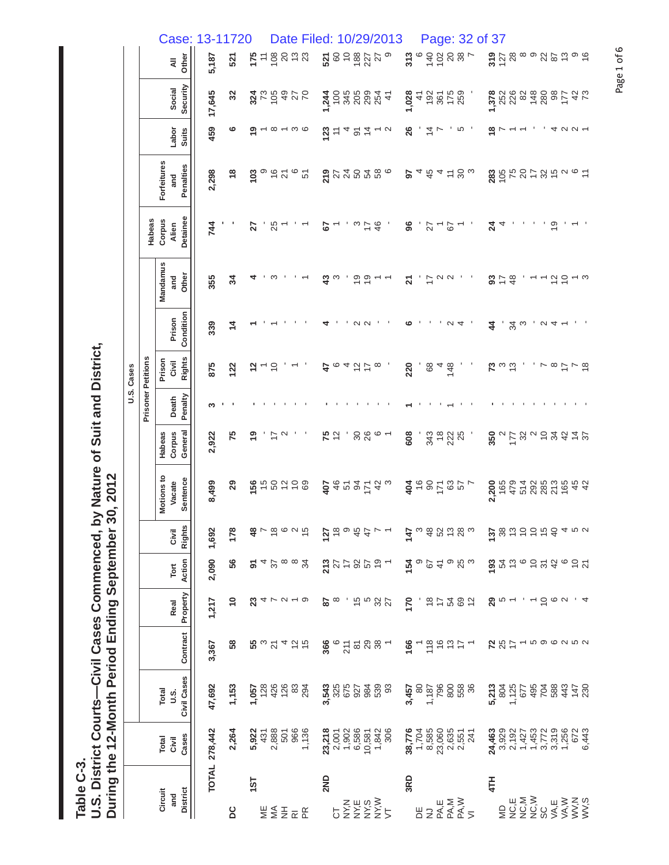**Table C-3.** 

Table C-3.<br>U.S. District Courts—Civil Cases Commenced, by Nature of Suit and District,<br>During the 12-Month Period Ending September 30, 2012 **U.S. District Courts—Civil Cases Commenced, by Nature of Suit and District, During the 12-Month Period Ending September 30, 2012** 

|            |                           | Case: 13-11720                    |               |                |               |                                                                                                                                               |                |               |                          | Date Filed: |                |                |      |     |                                                              |                                                                                       | 10/29/2013                                  |        |          |                          |             |                                                                                                   |             | Page: 32 of 37               |                 |               |                               |        |                          |                            |                      |                                                                                                                                                                                       |             |          |
|------------|---------------------------|-----------------------------------|---------------|----------------|---------------|-----------------------------------------------------------------------------------------------------------------------------------------------|----------------|---------------|--------------------------|-------------|----------------|----------------|------|-----|--------------------------------------------------------------|---------------------------------------------------------------------------------------|---------------------------------------------|--------|----------|--------------------------|-------------|---------------------------------------------------------------------------------------------------|-------------|------------------------------|-----------------|---------------|-------------------------------|--------|--------------------------|----------------------------|----------------------|---------------------------------------------------------------------------------------------------------------------------------------------------------------------------------------|-------------|----------|
|            |                           | Other<br>$\bar{a}$                | 5,187         | 521            | 175           | $= 5885$                                                                                                                                      |                |               | 23                       |             |                |                | 5200 |     | 188                                                          | 27                                                                                    |                                             | 313    |          |                          |             | 20287                                                                                             |             |                              |                 |               | 3728                          |        |                          |                            | 89262                |                                                                                                                                                                                       |             | ၈ ဇ      |
|            |                           | Security<br>Social                | 17,645        | 32             |               | 37.5370                                                                                                                                       |                |               |                          |             |                |                |      |     |                                                              | $\frac{1}{4}$ 5 3 3 9 9 9 4 1<br>$\frac{1}{4}$ 5 9 9 9 4 1<br>$\frac{1}{4}$ 6 9 9 4 1 |                                             | 1,028  |          | 498288                   |             |                                                                                                   |             |                              | 1,378           |               |                               |        |                          |                            |                      | 2223480877                                                                                                                                                                            | 42          |          |
|            |                           | Labor<br><b>Suits</b>             | 459           | ဖ              |               |                                                                                                                                               |                |               | $\infty$ $\sim$ $\infty$ |             | $\frac{23}{2}$ | $\tilde{\tau}$ |      |     |                                                              | $224 - 5$                                                                             |                                             | 26     |          |                          | $rac{1}{4}$ |                                                                                                   | <u> က</u> ' |                              | $\frac{8}{1}$   |               |                               |        |                          |                            |                      | $4$ $\alpha$ $\alpha$ $\sim$                                                                                                                                                          |             |          |
|            |                           | Forfeitures<br>Penalties<br>and   | 2,298         | $\frac{8}{1}$  | 103           | တ                                                                                                                                             | $rac{6}{21}$   |               | ဖ<br>51                  |             | 219            |                |      |     |                                                              | 248286                                                                                |                                             | 5      |          |                          |             | $\frac{4}{10}$ 4 $\frac{1}{10}$ $\approx$ $\frac{1}{10}$                                          |             |                              | $283$<br>$758$  |               |                               |        |                          |                            |                      | F3600E                                                                                                                                                                                |             |          |
|            | Habeas                    | Detainee<br>Corpus<br>Alien       | 744           |                | 27            |                                                                                                                                               | 25             |               |                          |             | 5              |                |      | ო   | ₽                                                            | 46                                                                                    |                                             | 96     |          | 27                       |             | 67                                                                                                |             |                              | $\overline{24}$ | 4             |                               |        |                          |                            | $\frac{6}{5}$        |                                                                                                                                                                                       |             |          |
|            |                           | Mandamus<br>Other<br>and          | 355           | 34             |               |                                                                                                                                               | ო              |               |                          |             | $\frac{3}{4}$  |                |      |     | စ္ ၁                                                         |                                                                                       |                                             | 고      |          | 77                       | $\sim$      | $\sim$                                                                                            |             |                              |                 |               | 374                           |        |                          |                            | $\frac{2}{5}$        |                                                                                                                                                                                       |             |          |
|            |                           | Condition<br>Prison               | 339           | $\overline{4}$ |               |                                                                                                                                               |                |               |                          |             |                |                |      | N   | $\sim$                                                       |                                                                                       |                                             | ဖ      |          |                          |             |                                                                                                   |             |                              | 4               |               |                               | ვი<br> |                          |                            | $\alpha$ 4           |                                                                                                                                                                                       |             |          |
| U.S. Cases |                           | <b>Rights</b><br>Prison<br>Civil  | 875           | 122            |               |                                                                                                                                               | $\overline{c}$ |               |                          |             | 47             | $\circ$        |      | ュコレ |                                                              | $\infty$                                                                              |                                             | 220    |          | 68                       |             | $48\n48$                                                                                          |             |                              | 73              |               | $\frac{3}{2}$                 |        |                          |                            |                      | $\frac{8}{7}$ $\sim$ $\frac{6}{7}$                                                                                                                                                    |             |          |
|            | <b>Prisoner Petitions</b> | Penalty<br>Death                  | ∾             |                |               |                                                                                                                                               |                |               |                          |             |                |                |      |     |                                                              |                                                                                       |                                             |        |          |                          |             |                                                                                                   |             |                              |                 |               |                               |        |                          |                            |                      |                                                                                                                                                                                       |             |          |
|            |                           | General<br>Corpus<br>Habeas       | 2,922         | 75             | $\frac{6}{1}$ |                                                                                                                                               | $\frac{1}{2}$  |               |                          |             | 75             | $\frac{2}{3}$  |      |     | <b>98</b>                                                    | $\circ$ $\sim$                                                                        |                                             | 608    |          |                          | 343<br>18   | 222                                                                                               |             |                              | 350             | $\sim$        | $177$<br>32                   |        |                          | $v \stackrel{\frown}{=} 2$ |                      | $\frac{2}{3}$                                                                                                                                                                         | $rac{4}{4}$ |          |
|            |                           | Motions to<br>Sentence<br>Vacate  | 8,499         | 29             | 156           |                                                                                                                                               | 50             | $\frac{1}{2}$ | $\overline{0}$<br>69     |             | 407            |                |      |     |                                                              | 8.2253                                                                                |                                             |        |          | 385829                   |             |                                                                                                   |             |                              | 2,200           |               | 165<br>479                    |        |                          |                            | 5285<br>2022<br>2022 | 165                                                                                                                                                                                   |             | 45<br>42 |
|            |                           | <b>Rights</b><br>Civil            | 1,692         | 178            |               | $\frac{36}{4}$ $\sim$ $\frac{36}{4}$ $\sim$ $\frac{36}{4}$                                                                                    |                |               |                          |             |                |                |      |     |                                                              | 58997777                                                                              |                                             | 147    |          | 3 \$ \$ \$ \$ \$ \$ \$   |             |                                                                                                   |             |                              |                 |               |                               |        |                          |                            |                      | $\frac{5}{2}$ $\frac{8}{2}$ $\frac{5}{2}$ $\frac{5}{2}$ $\frac{6}{2}$ $\frac{6}{2}$ $\frac{4}{2}$ $\frac{6}{4}$ $\frac{6}{2}$                                                         |             |          |
|            |                           | Action<br>Tort                    | 2,090         | 56             | 5             | $4\frac{2}{5}$                                                                                                                                |                |               | 34                       |             |                |                |      |     |                                                              | 27779597                                                                              |                                             | 154    |          |                          | <b>41</b>   | စ ဗ္ပ က                                                                                           |             |                              |                 |               |                               |        |                          |                            |                      | $\frac{1}{2}$ $\frac{1}{2}$ $\frac{1}{2}$ $\frac{1}{2}$ $\frac{1}{2}$ $\frac{1}{2}$ $\frac{1}{2}$ $\frac{1}{2}$ $\frac{1}{2}$ $\frac{1}{2}$ $\frac{1}{2}$ $\frac{1}{2}$ $\frac{1}{2}$ |             |          |
|            |                           | Property<br>Real                  | 1,217         | $\tilde{=}$    | ಔ             | <b>4 L U L Q</b>                                                                                                                              |                |               |                          |             |                | $\frac{8}{8}$  |      |     |                                                              | <b>155827</b>                                                                         |                                             | 170    |          |                          |             | $\frac{1}{2}$ $\frac{1}{2}$ $\frac{1}{2}$ $\frac{1}{2}$ $\frac{1}{2}$ $\frac{1}{2}$ $\frac{1}{2}$ |             |                              | ଅ               | $\frac{1}{2}$ |                               |        | $\overline{\phantom{0}}$ |                            | 560                  |                                                                                                                                                                                       |             |          |
|            |                           | Contract                          | 3,367         | 58             |               | $\mathfrak{B}$ ຕ $\mathfrak{a}$ ។ $\mathfrak{a}$ ម                                                                                            |                |               |                          |             |                |                |      |     |                                                              | $\frac{66}{25}$ $\frac{66}{25}$ $\frac{66}{25}$ $\frac{66}{25}$ $\frac{66}{25}$       |                                             | 166    |          |                          |             |                                                                                                   |             | ㄱ은 우 학 누 ㄱ                   | 787             |               |                               |        |                          |                            |                      |                                                                                                                                                                                       |             |          |
|            |                           | Civil Cases<br>Total<br>s.u       | 47,692        | 1,153          |               | $1,058$<br>$128$<br>$128$<br>$128$<br>$128$<br>$128$<br>$128$<br><br><br><br><br><br><br><br><br><br><br><br><br><br><br><br><br><br><br><br> |                |               |                          |             |                |                |      |     |                                                              |                                                                                       | <b>2006</b><br><b>2006</b><br>2009 09:09:09 | 3,457  | $\infty$ |                          |             |                                                                                                   |             | 1,187<br>796<br>1876<br>1977 |                 |               |                               |        |                          |                            |                      |                                                                                                                                                                                       |             |          |
|            |                           | Cases<br>Total<br>Civil           | TOTAL 278,442 | 2,264          |               | $\begin{array}{c}\n 5.927 \\  4.37 \\  7.380 \\  8.050 \\  9.66 \\  7.36\n \end{array}$                                                       |                |               |                          |             |                |                |      |     | 23,218<br>2,001<br>$7,902$<br>$1,908$<br>$1,988$<br>$10,981$ | 1,842<br>306                                                                          |                                             | 38,776 |          | 1,704<br>8,585<br>23,060 |             | 2,635<br>2,551<br>241                                                                             |             |                              | 24,463          |               | $3,929$<br>$2,192$<br>$1,427$ |        |                          |                            |                      | 1<br>1772<br>1986<br>1987<br>1987                                                                                                                                                     |             |          |
|            |                           | <b>District</b><br>Circuit<br>and |               | <b>DC</b>      | $15$ T        | WESER                                                                                                                                         |                |               |                          |             | 2ND            |                |      |     |                                                              | zши≷<br>bΣΣΣΣ5                                                                        |                                             | 3RD    | 岂        |                          |             | צַבּאַם<br>אַצּבּ<br>אַצּבּ                                                                       |             |                              | 4TH             | QM            |                               |        |                          |                            |                      | <b>μΣ≥ μ≥Ζω</b><br>ΟΟΟΟΚΚΣ<br>ΣΖΖω>>>>>                                                                                                                                               |             |          |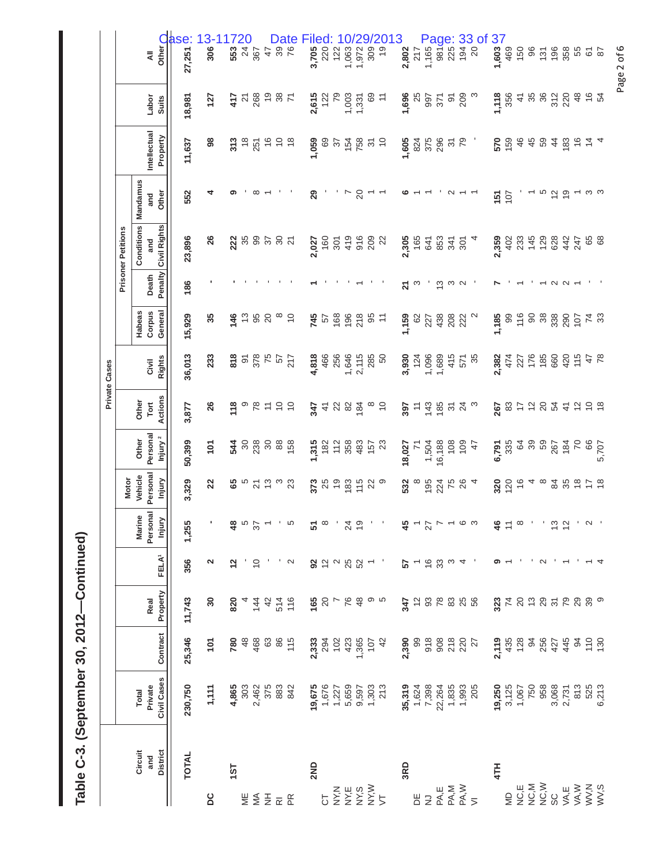Table C-3. (September 30, 2012-Continued) **Table C-3. (September 30, 2012—Continued)** 

|                                                                                                                                                                   |  |  |                    |                                                                                                                                                                                                                                                                                                                                                                                                                                                               |                                          |                           | Private Cases          |                             |                           |                                          |                          |                          |                       |                                                                                           |
|-------------------------------------------------------------------------------------------------------------------------------------------------------------------|--|--|--------------------|---------------------------------------------------------------------------------------------------------------------------------------------------------------------------------------------------------------------------------------------------------------------------------------------------------------------------------------------------------------------------------------------------------------------------------------------------------------|------------------------------------------|---------------------------|------------------------|-----------------------------|---------------------------|------------------------------------------|--------------------------|--------------------------|-----------------------|-------------------------------------------------------------------------------------------|
|                                                                                                                                                                   |  |  |                    | <b>Motor</b>                                                                                                                                                                                                                                                                                                                                                                                                                                                  |                                          |                           |                        |                             |                           | <b>Prisoner Petitions</b>                |                          |                          |                       |                                                                                           |
| FELA <sup>1</sup><br>Real<br>Contract<br>Civil Cases<br>Private<br><b>Total</b><br><b>District</b><br>Circuit<br>and                                              |  |  | Personal<br>Marine | Personal<br>Vehicle                                                                                                                                                                                                                                                                                                                                                                                                                                           | Personal<br>Injury <sup>2</sup><br>Other | Actions<br>Other<br>Tort  | <b>Rights</b><br>Civil | Corpus<br>General<br>Habeas | Penalty<br>Death          | <b>Conditions</b><br>Civil Rights<br>and | Mandamus<br>Other<br>and | Intellectual             | Labor<br><b>Suits</b> | ₹                                                                                         |
| Injury<br>Property                                                                                                                                                |  |  |                    | Injury                                                                                                                                                                                                                                                                                                                                                                                                                                                        |                                          |                           |                        |                             |                           |                                          |                          | Property                 |                       | Other O<br>ase:                                                                           |
| 1,255<br>356<br>11,743<br>25,346<br>230,750<br><b>TOTAL</b>                                                                                                       |  |  |                    | 3,329                                                                                                                                                                                                                                                                                                                                                                                                                                                         | 50,399                                   | 3,877                     | 36,013                 | 15,929                      | 186                       | 23,896                                   | 552                      | 11,637                   | 18,981                | 27,251                                                                                    |
| N<br>30<br>101<br>1,111                                                                                                                                           |  |  |                    | 22                                                                                                                                                                                                                                                                                                                                                                                                                                                            | 101                                      | 26                        | 233                    | 35                          |                           | 26                                       | ෑ                        | 86                       | 127                   | $3 - 117$<br>306                                                                          |
| $\frac{2}{3}$<br>820<br>1ST                                                                                                                                       |  |  |                    | ఴ                                                                                                                                                                                                                                                                                                                                                                                                                                                             |                                          | 118                       |                        | 146                         |                           | 222                                      |                          | 313                      | 417                   | 553                                                                                       |
| $\frac{a}{a}$ is $\frac{c}{b}$ in $\frac{a}{b}$<br>7848885<br>$4.865$<br>$3.03$<br>$4.803$<br>$5.83$<br>$6.83$<br>$6.83$<br>$6.83$<br>$6.83$                      |  |  |                    |                                                                                                                                                                                                                                                                                                                                                                                                                                                               | <b>អ្ន</b> ី ខន្ល ខន្ល ចូ                | တ                         | 85885                  | $\frac{3}{2}$               |                           |                                          |                          | $\frac{8}{3}$            | ಸ ಜಿ <sub>ಎ</sub>     | 20                                                                                        |
| $\overline{C}$<br>$4\frac{4}{4}$                                                                                                                                  |  |  |                    | 5 x m m m                                                                                                                                                                                                                                                                                                                                                                                                                                                     |                                          | 78                        |                        | 95                          |                           | 35<br>39                                 |                          | 251                      |                       | 24<br>367                                                                                 |
| 42                                                                                                                                                                |  |  |                    |                                                                                                                                                                                                                                                                                                                                                                                                                                                               |                                          | $\overline{\overline{a}}$ |                        | 20                          |                           | 3787                                     |                          | $\frac{6}{7}$            |                       | 488                                                                                       |
|                                                                                                                                                                   |  |  |                    |                                                                                                                                                                                                                                                                                                                                                                                                                                                               |                                          | 55                        |                        |                             |                           |                                          |                          |                          | $\frac{8}{7}$         |                                                                                           |
| $\sim$<br>514<br>116                                                                                                                                              |  |  |                    |                                                                                                                                                                                                                                                                                                                                                                                                                                                               |                                          |                           | 217                    | $\tilde{c}$                 |                           |                                          |                          |                          |                       | Date                                                                                      |
| $5^{\circ}$<br>165<br>2,333<br>294<br>423<br>423<br><b>19,675</b><br>1,676<br>1,227<br>5,659<br>2ND                                                               |  |  |                    | 373                                                                                                                                                                                                                                                                                                                                                                                                                                                           | 1,315                                    | 347                       | 4,818                  | 745                         |                           | 2,027                                    | 29                       | 1,059                    | 2,615                 | 3,705                                                                                     |
|                                                                                                                                                                   |  |  |                    | 25                                                                                                                                                                                                                                                                                                                                                                                                                                                            | 182                                      | $\frac{4}{1}$             | 466                    | 57                          |                           | 160                                      |                          | 69                       | 122                   | 220                                                                                       |
|                                                                                                                                                                   |  |  |                    |                                                                                                                                                                                                                                                                                                                                                                                                                                                               | 112                                      |                           | 256                    | 168                         |                           | 301                                      |                          | $\overline{\mathcal{E}}$ | 79                    | 122                                                                                       |
| , ද් ක<br>32982<br>$8 - 88$ $9 - 8$                                                                                                                               |  |  |                    | $\begin{array}{c} 2 \overline{1} \\ 2 \overline{1} \\ 3 \overline{1} \\ 4 \overline{1} \\ 5 \overline{1} \\ 6 \overline{1} \\ 7 \overline{1} \\ 8 \overline{1} \\ 1 \overline{1} \\ 1 \overline{1} \\ 1 \overline{1} \\ 1 \overline{1} \\ 1 \overline{1} \\ 1 \overline{1} \\ 1 \overline{1} \\ 1 \overline{1} \\ 1 \overline{1} \\ 1 \overline{1} \\ 1 \overline{1} \\ 1 \overline{1} \\ 1 \overline{1} \\ 1 \overline{1} \\ 1 \overline{1} \\ 1 \overline{$ | 358                                      | 2 % %                     | 1,646                  | 196                         |                           | 419                                      | r                        | 15830                    | 1,003                 | 1,063                                                                                     |
|                                                                                                                                                                   |  |  |                    |                                                                                                                                                                                                                                                                                                                                                                                                                                                               |                                          |                           | 2,115                  | 218                         |                           | $916$<br>$209$                           | 20                       |                          | 1,331                 | 1,972                                                                                     |
| $\overline{\phantom{m}}$<br>1,365<br>107<br>42<br>9,597<br>1,303<br>213                                                                                           |  |  |                    |                                                                                                                                                                                                                                                                                                                                                                                                                                                               | $\frac{35}{5}$ 23                        |                           | 285                    | 95                          |                           |                                          | $\overline{\phantom{0}}$ |                          | 69                    | 309                                                                                       |
|                                                                                                                                                                   |  |  |                    | ၜ                                                                                                                                                                                                                                                                                                                                                                                                                                                             |                                          | $\tilde{c}$               | 50                     | Ξ                           |                           | $\overline{c}$                           |                          |                          | $\tilde{t}$           | Filed: 10/29/2013<br>$\frac{1}{2}$                                                        |
| 57<br>347<br>2,390<br>35,319<br>$\begin{array}{r} 7,398 \\ 7,398 \\ 7,398 \\ 7,398 \\ 8,359 \\ 7,4993 \\ 7,3993 \\ 7,3993 \\ 205 \end{array}$<br>3RD              |  |  |                    | 532                                                                                                                                                                                                                                                                                                                                                                                                                                                           | 18,027                                   | 397                       | 3,930                  | 1,159                       | 21                        | 2,305                                    |                          | 1,605                    | 1,696                 | 2,802                                                                                     |
| $-6.8$<br>99                                                                                                                                                      |  |  |                    | $\infty$                                                                                                                                                                                                                                                                                                                                                                                                                                                      | $\overline{z}$                           | 743                       | 124                    | 82                          | က                         |                                          |                          | 824                      | 25                    | 217                                                                                       |
|                                                                                                                                                                   |  |  |                    | 195                                                                                                                                                                                                                                                                                                                                                                                                                                                           | 1,504<br>16,188                          |                           | 1,096                  | 227                         |                           | 641                                      |                          | 375                      | 12<br>26              | 1,165                                                                                     |
| $4 - 2 - 6$<br>2888888<br>3088027                                                                                                                                 |  |  |                    | 224                                                                                                                                                                                                                                                                                                                                                                                                                                                           |                                          | 185                       | 1,689                  | 438                         | $\frac{10}{2}$ a $\alpha$ | 853                                      |                          | 296                      |                       | 981                                                                                       |
| က                                                                                                                                                                 |  |  |                    | 7684                                                                                                                                                                                                                                                                                                                                                                                                                                                          | $\frac{8}{108}$                          | స న ల                     | 415                    | 208<br>222                  |                           | $\frac{341}{301}$                        |                          | $\frac{2}{7}$            | $\overline{9}$        |                                                                                           |
| 4                                                                                                                                                                 |  |  |                    |                                                                                                                                                                                                                                                                                                                                                                                                                                                               | 109                                      |                           | 571                    |                             |                           |                                          |                          |                          | 209                   |                                                                                           |
|                                                                                                                                                                   |  |  |                    |                                                                                                                                                                                                                                                                                                                                                                                                                                                               | 47                                       |                           | 35                     |                             |                           |                                          |                          |                          |                       | Page: 33 of<br>$\frac{16}{5}$ $\frac{16}{5}$ $\frac{16}{5}$ $\frac{33}{5}$ $\frac{36}{5}$ |
| $\frac{4}{5}$ $\approx$ $\frac{6}{5}$<br>$2,435$<br>435<br>436<br>128<br>427<br>427<br>19,250<br>3,125<br>1,067<br>1,067<br>750<br>3,068<br>3,731<br>2,731<br>4TH |  |  |                    | 320                                                                                                                                                                                                                                                                                                                                                                                                                                                           | 6,791                                    | 267                       | 2,382                  | 1,185                       |                           | 2,359                                    | 151                      | 570                      | 1,118                 | 1,603                                                                                     |
|                                                                                                                                                                   |  |  |                    | 120                                                                                                                                                                                                                                                                                                                                                                                                                                                           | 335                                      | 83                        | 474                    | 99                          |                           | 402                                      | 107                      | 159                      | 356                   | 469                                                                                       |
|                                                                                                                                                                   |  |  |                    | $\frac{6}{5}$                                                                                                                                                                                                                                                                                                                                                                                                                                                 |                                          |                           | 227                    | 116                         |                           | 233                                      |                          | 46                       | $\ddot{t}$            | 150                                                                                       |
|                                                                                                                                                                   |  |  |                    | $4\,$ $\infty$                                                                                                                                                                                                                                                                                                                                                                                                                                                |                                          |                           | 176                    | $8^{\circ}$                 |                           | 145                                      |                          | 45                       |                       | 86                                                                                        |
| $\sim$<br>¤<br>≌≌<br>22 %                                                                                                                                         |  |  |                    |                                                                                                                                                                                                                                                                                                                                                                                                                                                               | <b>G</b> & &                             | 55822                     | 185                    | 38                          |                           | 129                                      | r 2 5 a                  | 59                       |                       | $\frac{5}{15}$                                                                            |
| $\frac{3}{2}$                                                                                                                                                     |  |  |                    |                                                                                                                                                                                                                                                                                                                                                                                                                                                               |                                          |                           | 660                    |                             |                           | 628                                      |                          | $\overline{4}$           |                       |                                                                                           |
| 445                                                                                                                                                               |  |  |                    | <b>22 32 50</b>                                                                                                                                                                                                                                                                                                                                                                                                                                               |                                          |                           | 420                    |                             | $\sim$ $\sim$             | 442                                      |                          | 183                      | 8820                  | 358                                                                                       |
| $\cdot$ $\sim$<br>ន្ត្រីក្តុងនេស្តា<br>$340$<br>$750$<br>813<br>525<br>6,213                                                                                      |  |  |                    |                                                                                                                                                                                                                                                                                                                                                                                                                                                               | $648$ $88$                               | 29.8                      | 115                    | 880578<br>88578             |                           | 247                                      | $\overline{\phantom{0}}$ | 64                       | 48                    | 55<br>55<br>55                                                                            |
|                                                                                                                                                                   |  |  |                    | $\overline{1}$                                                                                                                                                                                                                                                                                                                                                                                                                                                |                                          |                           | 47<br>78               |                             |                           | 65                                       | ო ო                      |                          | $\approx 25$          |                                                                                           |
|                                                                                                                                                                   |  |  |                    | $\frac{8}{5}$                                                                                                                                                                                                                                                                                                                                                                                                                                                 | 5,707                                    |                           |                        |                             |                           | 68                                       |                          |                          |                       |                                                                                           |
|                                                                                                                                                                   |  |  |                    |                                                                                                                                                                                                                                                                                                                                                                                                                                                               |                                          |                           |                        |                             |                           |                                          |                          |                          |                       |                                                                                           |

Page 2 of 6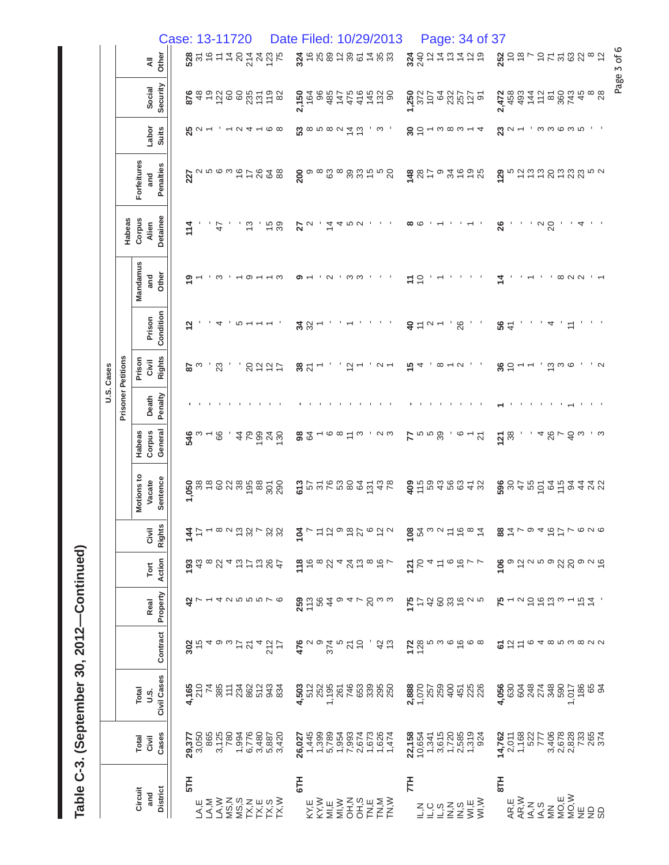| ľ            |
|--------------|
|              |
| Ç<br>ć<br>ì  |
| ຈິ<br>)<br>b |
|              |
| $\mathbf{c}$ |
| l<br>ı       |
|              |

|            |                           |                      |                 | Case: 13-11720 |                  |              |                |            |                          |                      |     |                                                                                                                                                                                                                                                                                                                     | Date Filed: 10/29/2013 |                 |                          |                |               |                                                                                                                 |                                                                                                                                                                                                                                                                                                                        |                         |                     |            |                                    |                                                                                                                                             | Page: 34 of 37 |              |                                                             |           |                |         |                        |                                                                                                                                                                                                                           |        |
|------------|---------------------------|----------------------|-----------------|----------------|------------------|--------------|----------------|------------|--------------------------|----------------------|-----|---------------------------------------------------------------------------------------------------------------------------------------------------------------------------------------------------------------------------------------------------------------------------------------------------------------------|------------------------|-----------------|--------------------------|----------------|---------------|-----------------------------------------------------------------------------------------------------------------|------------------------------------------------------------------------------------------------------------------------------------------------------------------------------------------------------------------------------------------------------------------------------------------------------------------------|-------------------------|---------------------|------------|------------------------------------|---------------------------------------------------------------------------------------------------------------------------------------------|----------------|--------------|-------------------------------------------------------------|-----------|----------------|---------|------------------------|---------------------------------------------------------------------------------------------------------------------------------------------------------------------------------------------------------------------------|--------|
|            |                           | $\bar{z}$            | Other           |                | $28 + 6$         |              |                |            | $\overline{4}$           |                      |     | 21225<br>2225                                                                                                                                                                                                                                                                                                       |                        |                 | 346885                   |                |               | 30                                                                                                              | 488                                                                                                                                                                                                                                                                                                                    |                         |                     |            | $240 \times 10$<br>$240 \times 10$ |                                                                                                                                             | $\overline{0}$ |              |                                                             | $252$ $-$ |                |         |                        | 25588882                                                                                                                                                                                                                  |        |
|            |                           | Social               | Security        |                | 876              | 48           |                |            |                          |                      |     | $-5.8888258$                                                                                                                                                                                                                                                                                                        |                        | 2,150<br>164    | 96                       | 485            | 147           | 475<br>416                                                                                                      | $145$ 80                                                                                                                                                                                                                                                                                                               |                         | 1,250<br>372<br>107 | 64         |                                    | <u>ន្លង្គក</u> ្ន                                                                                                                           |                | 2,472<br>458 |                                                             |           |                |         | 34728874               |                                                                                                                                                                                                                           |        |
|            |                           | Labor                | <b>Suits</b>    |                | $\frac{5}{25}$   |              | $\overline{ }$ |            | $\overline{\phantom{0}}$ | $\alpha$ 4 $\sim$    |     | ဖေထ                                                                                                                                                                                                                                                                                                                 |                        |                 |                          |                |               | ೲೲೲೲ# co                                                                                                        | က                                                                                                                                                                                                                                                                                                                      | $30^{\circ}$            |                     |            |                                    | $ \infty$ $\infty$ $-$                                                                                                                      | 4              |              | $\mathbf{\overset{\alpha}{\scriptstyle \alpha}}$ $\sim$ $-$ |           |                |         |                        |                                                                                                                                                                                                                           |        |
|            |                           | Forfeitures<br>and   | Penalties       |                |                  |              |                |            | $227$ $25$ $25$ $25$     |                      | 26  | 648                                                                                                                                                                                                                                                                                                                 |                        | 200             | $\infty$                 |                | $\frac{3}{8}$ | 39                                                                                                              | 3258                                                                                                                                                                                                                                                                                                                   | $148$<br>$28$           |                     | ၜ<br>17    | 34                                 | $\frac{6}{5}$                                                                                                                               | $\frac{9}{25}$ | 129          |                                                             | おおお       |                | 20      | 533                    | ro u                                                                                                                                                                                                                      |        |
|            | Habeas                    | Corpus<br>Alien      | Detainee        |                | 114              |              |                | $\ddot{t}$ |                          | ဗု                   |     | 15 <sub>0</sub>                                                                                                                                                                                                                                                                                                     |                        | 27              |                          | $\overline{4}$ | 4             | <b>50 U</b>                                                                                                     | $\mathbf{r}$                                                                                                                                                                                                                                                                                                           | ∞ ပ                     |                     |            |                                    |                                                                                                                                             |                | 26           |                                                             |           | ່αສ            |         | $\overline{4}$         |                                                                                                                                                                                                                           |        |
|            |                           | Mandamus<br>and      | Other           |                | თ                |              |                | က          |                          | တ                    |     | — ო                                                                                                                                                                                                                                                                                                                 |                        |                 |                          | $\sim$         |               | ო<br>က                                                                                                          |                                                                                                                                                                                                                                                                                                                        | <u>h</u>                | $\tilde{c}$         |            |                                    |                                                                                                                                             |                |              |                                                             |           |                |         | $\infty$ $\sim$ $\sim$ |                                                                                                                                                                                                                           |        |
|            |                           | Prison               | Condition       |                | $\frac{1}{2}$    |              |                | 4          |                          | ယ                    |     |                                                                                                                                                                                                                                                                                                                     |                        | 32 <sup>3</sup> |                          |                |               |                                                                                                                 |                                                                                                                                                                                                                                                                                                                        | $\overline{\mathsf{a}}$ | $\overline{r}$      | $\sim$ $-$ |                                    | 26                                                                                                                                          |                | 56           |                                                             |           |                | 4       | $\cong$                |                                                                                                                                                                                                                           |        |
| U.S. Cases |                           | Prison<br>Civil      | <b>Rights</b>   |                | 28               |              |                | 23         |                          | $\overline{c}$       |     | ひにけ                                                                                                                                                                                                                                                                                                                 |                        | 38 <sub>2</sub> |                          |                |               | $\frac{1}{2}$                                                                                                   | $\sim$                                                                                                                                                                                                                                                                                                                 | 15                      | 4                   | $\infty$   |                                    | $\sim$                                                                                                                                      |                | $30^{\circ}$ |                                                             |           |                | ဗ္ ၐ ဖ  |                        |                                                                                                                                                                                                                           | $\sim$ |
|            | <b>Prisoner Petitions</b> | Death                | Penalty         |                |                  |              |                |            |                          |                      |     |                                                                                                                                                                                                                                                                                                                     |                        |                 |                          |                |               |                                                                                                                 |                                                                                                                                                                                                                                                                                                                        |                         |                     |            |                                    |                                                                                                                                             |                |              |                                                             |           |                |         |                        |                                                                                                                                                                                                                           |        |
|            |                           | Corpus<br>Habeas     | General         |                | $54^{\circ} - 8$ |              |                |            |                          | $\overline{4}$<br>79 | 199 | $\frac{24}{30}$                                                                                                                                                                                                                                                                                                     |                        | 88              | $\overline{\phantom{0}}$ |                | ဖေထ           | က<br>$\overline{z}$                                                                                             | പ ധ                                                                                                                                                                                                                                                                                                                    |                         | 5000                |            |                                    | $rac{6}{2}$                                                                                                                                 |                | 738          |                                                             |           |                | $480 -$ | $rac{1}{4}$            |                                                                                                                                                                                                                           |        |
|            |                           | Motions to<br>Vacate | Sentence        |                |                  |              |                |            |                          |                      |     | 5888888587                                                                                                                                                                                                                                                                                                          |                        |                 |                          |                |               |                                                                                                                 | 25.58889738                                                                                                                                                                                                                                                                                                            |                         |                     |            |                                    | 350388278                                                                                                                                   |                |              |                                                             |           |                |         |                        | 88485954499                                                                                                                                                                                                               |        |
|            |                           | Civil                | <b>Rights</b>   |                |                  |              |                |            |                          |                      |     | $\frac{4}{3}$ $\frac{5}{6}$ $\frac{6}{6}$ $\frac{6}{3}$ $\frac{6}{3}$ $\frac{6}{3}$ $\frac{6}{3}$ $\frac{6}{3}$                                                                                                                                                                                                     |                        |                 |                          |                |               |                                                                                                                 | $\frac{1}{2}$ $\sim$ $\approx$ $\frac{1}{2}$ $\sim$ $\approx$ $\frac{1}{2}$ $\sim$ $\approx$ $\sim$                                                                                                                                                                                                                    |                         |                     |            |                                    | $\frac{1}{2}$ $\frac{2}{3}$ $\frac{2}{3}$ $\frac{1}{2}$ $\frac{1}{2}$ $\frac{1}{2}$ $\frac{1}{2}$ $\frac{1}{2}$ $\frac{1}{2}$ $\frac{1}{2}$ |                |              |                                                             |           |                |         |                        | 804794677696                                                                                                                                                                                                              |        |
|            |                           | Tort                 | Action          |                |                  |              |                |            |                          |                      |     | $\frac{1}{2}$ $\frac{1}{2}$ $\frac{1}{2}$ $\frac{1}{2}$ $\frac{1}{2}$ $\frac{1}{2}$ $\frac{1}{2}$ $\frac{1}{2}$ $\frac{1}{2}$ $\frac{1}{2}$ $\frac{1}{2}$ $\frac{1}{2}$ $\frac{1}{2}$ $\frac{1}{2}$ $\frac{1}{2}$ $\frac{1}{2}$ $\frac{1}{2}$ $\frac{1}{2}$ $\frac{1}{2}$ $\frac{1}{2}$ $\frac{1}{2}$ $\frac{1}{2}$ |                        | $\frac{26}{18}$ |                          |                |               |                                                                                                                 | $\infty$ <i><math>\alpha</math></i> $\alpha$ $\alpha$ $\alpha$ $\alpha$ $\alpha$ $\beta$ $\sim$                                                                                                                                                                                                                        |                         |                     |            |                                    |                                                                                                                                             | 55450677       |              |                                                             |           |                |         |                        | $\frac{6}{5}$<br>$\frac{6}{5}$<br>$\frac{6}{5}$<br>$\frac{6}{5}$<br>$\frac{6}{5}$<br>$\frac{6}{5}$<br>$\frac{6}{5}$<br>$\frac{6}{5}$<br>$\frac{6}{5}$<br>$\frac{6}{5}$<br>$\frac{6}{5}$<br>$\frac{6}{5}$<br>$\frac{6}{5}$ |        |
|            |                           | Real                 | Property        |                |                  |              |                |            |                          |                      |     | $3 - 4$ $8 - 4$ $8 - 4$                                                                                                                                                                                                                                                                                             |                        |                 |                          |                |               |                                                                                                                 | $\begin{array}{l} 0\\ 0\\ 0\\ 0\\ 0\\ \end{array}$                                                                                                                                                                                                                                                                     |                         |                     |            |                                    |                                                                                                                                             | 5.5888606      |              |                                                             |           |                |         |                        | $\kappa$ – $\sim$ 5 6 5 $\sim$ – 6 $\pm$ ,                                                                                                                                                                                |        |
|            |                           |                      | Contract        |                |                  |              |                |            |                          |                      |     | $80 - 400$ $61 - 245$                                                                                                                                                                                                                                                                                               |                        |                 |                          |                |               | $\frac{1}{6}$ $\frac{1}{2}$ $\frac{1}{2}$ $\frac{1}{2}$ $\frac{1}{2}$ $\frac{1}{2}$ $\frac{1}{2}$ $\frac{1}{2}$ | ಕ ಜ                                                                                                                                                                                                                                                                                                                    |                         |                     |            |                                    | $\sum_{n=0}^{\infty}$                                                                                                                       |                |              | 255                                                         |           |                |         |                        | $\circ$ 4 $\circ$ 10 $\circ$ 10 $\circ$ 10 $\circ$                                                                                                                                                                        |        |
|            |                           | Total<br>U.S.        | Civil Cases     |                |                  |              |                |            |                          |                      |     | $4.654874874894$<br>$2.782489998$<br>$2.7824899994$                                                                                                                                                                                                                                                                 |                        |                 |                          |                |               |                                                                                                                 | $\frac{3}{2}$<br>$\frac{5}{2}$ $\frac{5}{2}$ $\frac{5}{2}$ $\frac{5}{2}$ $\frac{5}{2}$ $\frac{5}{2}$ $\frac{5}{2}$ $\frac{5}{2}$ $\frac{5}{2}$ $\frac{5}{2}$ $\frac{5}{2}$ $\frac{5}{2}$ $\frac{5}{2}$ $\frac{5}{2}$ $\frac{5}{2}$ $\frac{5}{2}$ $\frac{5}{2}$ $\frac{5}{2}$ $\frac{5}{2}$ $\frac{5}{2}$ $\frac{5}{2}$ |                         |                     |            |                                    |                                                                                                                                             |                |              |                                                             |           |                |         |                        | 65<br>94                                                                                                                                                                                                                  |        |
|            |                           | Total<br>Civil       | Cases           |                | 29,377<br>3,050  |              | 865            |            |                          |                      |     | 3128320<br>202022320<br>20202222                                                                                                                                                                                                                                                                                    |                        | 26,027          | 1,445                    |                |               |                                                                                                                 | 1<br>0.000000001<br>0.00000001<br>0.0000000001                                                                                                                                                                                                                                                                         |                         |                     |            |                                    | 22,158<br>0.654<br>2006<br>2006<br>2009<br>2009<br>2009<br>2009                                                                             |                |              | $\frac{14,762}{2,011}$<br>1,168                             |           | $rac{22}{777}$ |         |                        |                                                                                                                                                                                                                           |        |
|            |                           | Circuit<br>and       | <b>District</b> |                | 5TH              | LA,M<br>LA,M |                |            |                          |                      |     | N<br>S S S S S H S S<br>S S S S H S S<br>S S S S H S S S                                                                                                                                                                                                                                                            |                        | 6TH             |                          |                |               |                                                                                                                 | ₩⋛⊞⋛⋜⋴⋼⋝⋛<br>ŶŶĔĔ₽ĽĽŔŔ                                                                                                                                                                                                                                                                                                 | ĔΕ                      |                     |            |                                    | =<br>ππεινάπ<br>Σοντανπ≽                                                                                                                    |                | E18          | AR,E<br>AR,W                                                |           |                |         |                        | ₹<ַ≥≥≥≥€ש<br><≤ ≈≥≥≥€<br><< ≈ ≈ ≈                                                                                                                                                                                         |        |

Page 3 of 6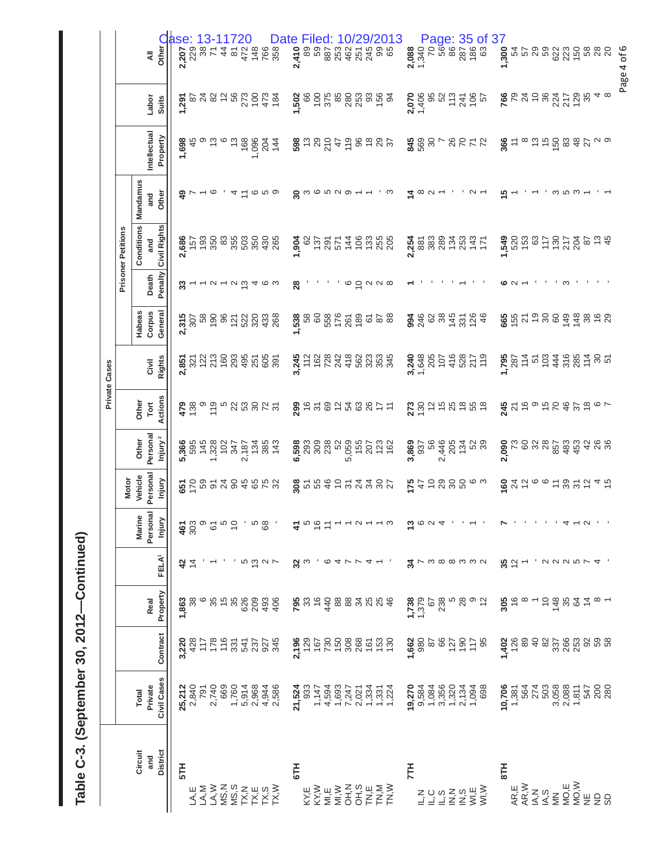| ľ<br>てくら<br>ì          |
|------------------------|
| ິດ<br>ຈ<br>Į<br>١<br>i |
| ı<br>.<br>C<br>i       |

|                                                   |                                    |                                 |                                          |                                                            |                                                                                     |                                       |                                                                                                                                                                            |                                                                                                                                                                         | <b>Private Cases</b>                                                                       |                                                                                      |                                                              |                                                   |                                        |                                                                                                                                                                                                                                 |                                                               |                                                                            |
|---------------------------------------------------|------------------------------------|---------------------------------|------------------------------------------|------------------------------------------------------------|-------------------------------------------------------------------------------------|---------------------------------------|----------------------------------------------------------------------------------------------------------------------------------------------------------------------------|-------------------------------------------------------------------------------------------------------------------------------------------------------------------------|--------------------------------------------------------------------------------------------|--------------------------------------------------------------------------------------|--------------------------------------------------------------|---------------------------------------------------|----------------------------------------|---------------------------------------------------------------------------------------------------------------------------------------------------------------------------------------------------------------------------------|---------------------------------------------------------------|----------------------------------------------------------------------------|
|                                                   |                                    |                                 |                                          |                                                            |                                                                                     | <b>Motor</b>                          |                                                                                                                                                                            |                                                                                                                                                                         |                                                                                            |                                                                                      |                                                              | <b>Prisoner Petitions</b>                         |                                        |                                                                                                                                                                                                                                 |                                                               |                                                                            |
| Circuit                                           | <b>Total</b>                       |                                 |                                          |                                                            | Marine                                                                              | Vehicle                               | Other                                                                                                                                                                      | Other                                                                                                                                                                   |                                                                                            | Habeas                                                                               |                                                              | Conditions                                        | Mandamus                               |                                                                                                                                                                                                                                 |                                                               |                                                                            |
| and                                               | Private                            |                                 | Real                                     |                                                            | Personal                                                                            | Personal                              | Personal                                                                                                                                                                   | Tort                                                                                                                                                                    | Civil                                                                                      | Corpus                                                                               | Death                                                        | and                                               | and                                    | Intellectual                                                                                                                                                                                                                    | Labor                                                         | $\bar{z}$                                                                  |
| <b>District</b>                                   | Civil Cases                        | Contract                        | Property                                 | FELA <sup>1</sup>                                          | Injury                                                                              | Injury                                | Injury <sup>2</sup>                                                                                                                                                        | Actions                                                                                                                                                                 | <b>Rights</b>                                                                              | General                                                                              | Penalty                                                      | Civil Rights                                      | Other                                  | Property                                                                                                                                                                                                                        | <b>Suits</b>                                                  | Other O                                                                    |
| 5TH                                               | 25,212                             | 3,220                           | 1,863                                    |                                                            |                                                                                     |                                       |                                                                                                                                                                            |                                                                                                                                                                         |                                                                                            |                                                                                      |                                                              |                                                   |                                        | 1,698                                                                                                                                                                                                                           |                                                               | ase:                                                                       |
|                                                   | 2,840                              | 428                             |                                          | $rac{1}{4}$                                                | $\frac{50}{60}$ $\frac{200}{60}$ $\frac{200}{60}$ $\frac{200}{60}$ $\frac{200}{60}$ | 5585288888                            | $\frac{366}{328}$<br>$\frac{368}{328}$<br>$\frac{367}{327}$<br>$\frac{57}{327}$<br>$\frac{367}{327}$<br>$\frac{367}{327}$<br>$\frac{367}{327}$                             | $\frac{1}{2}$ $\frac{1}{2}$ $\frac{1}{2}$ $\frac{1}{2}$ $\frac{1}{2}$ $\frac{1}{2}$ $\frac{1}{2}$ $\frac{1}{2}$ $\frac{1}{2}$ $\frac{1}{2}$ $\frac{1}{2}$ $\frac{1}{2}$ |                                                                                            | $23.58$<br>$25.89$<br>$25.89$<br>$25.89$<br>$25.89$<br>$25.89$<br>$25.89$<br>$25.89$ | $\omega$ $  \omega$ $ \omega$ $\omega$ $+$ $\infty$ $\omega$ |                                                   |                                        | 45                                                                                                                                                                                                                              | <b>ត្តិ</b><br>ស្ថិង និង និង និង និង<br>ស្ថិត                 |                                                                            |
| LA,M<br>LA,M                                      | 791                                | 117                             | ဖ                                        |                                                            |                                                                                     |                                       |                                                                                                                                                                            |                                                                                                                                                                         |                                                                                            |                                                                                      |                                                              |                                                   |                                        |                                                                                                                                                                                                                                 |                                                               |                                                                            |
| LA, W                                             | 2,740                              | 178                             |                                          |                                                            |                                                                                     |                                       |                                                                                                                                                                            |                                                                                                                                                                         |                                                                                            |                                                                                      |                                                              |                                                   | $\sim$ $\circ$                         |                                                                                                                                                                                                                                 |                                                               |                                                                            |
|                                                   | 669                                | 116                             | $35 \overline{6}$                        |                                                            |                                                                                     |                                       |                                                                                                                                                                            |                                                                                                                                                                         |                                                                                            |                                                                                      |                                                              |                                                   |                                        |                                                                                                                                                                                                                                 |                                                               |                                                                            |
|                                                   | 1,760                              | 331                             | 35                                       |                                                            |                                                                                     |                                       |                                                                                                                                                                            |                                                                                                                                                                         |                                                                                            |                                                                                      |                                                              |                                                   |                                        |                                                                                                                                                                                                                                 |                                                               |                                                                            |
|                                                   | 5,914                              |                                 |                                          |                                                            |                                                                                     |                                       |                                                                                                                                                                            |                                                                                                                                                                         |                                                                                            |                                                                                      |                                                              |                                                   | $\overline{4}$ $\overline{2}$          |                                                                                                                                                                                                                                 |                                                               |                                                                            |
|                                                   | 2,968                              |                                 |                                          |                                                            |                                                                                     |                                       |                                                                                                                                                                            |                                                                                                                                                                         |                                                                                            |                                                                                      |                                                              |                                                   |                                        |                                                                                                                                                                                                                                 |                                                               |                                                                            |
| Σαzшα≷<br>ΘΩΣΗΩΣ<br>ΣΩΣΗΩΣ                        | 4,944<br>2,586                     | 22222<br>2222                   | 88886                                    | 5927                                                       |                                                                                     |                                       |                                                                                                                                                                            |                                                                                                                                                                         |                                                                                            |                                                                                      |                                                              |                                                   | ဖ ဖ စ                                  |                                                                                                                                                                                                                                 |                                                               |                                                                            |
|                                                   |                                    |                                 |                                          |                                                            | $\mathcal{A}$                                                                       |                                       |                                                                                                                                                                            |                                                                                                                                                                         |                                                                                            |                                                                                      |                                                              |                                                   |                                        |                                                                                                                                                                                                                                 |                                                               |                                                                            |
| 6TH                                               | 21,524                             |                                 |                                          |                                                            |                                                                                     |                                       |                                                                                                                                                                            |                                                                                                                                                                         |                                                                                            |                                                                                      |                                                              |                                                   |                                        |                                                                                                                                                                                                                                 |                                                               |                                                                            |
|                                                   | 933                                | 2,196                           |                                          | $\frac{5}{2}$                                              |                                                                                     |                                       |                                                                                                                                                                            |                                                                                                                                                                         |                                                                                            |                                                                                      |                                                              |                                                   |                                        |                                                                                                                                                                                                                                 |                                                               |                                                                            |
| KY, W<br>KY, W<br>MI, E                           |                                    | 167                             | $795$<br>$38$<br>$6$                     |                                                            | 4062                                                                                |                                       |                                                                                                                                                                            |                                                                                                                                                                         |                                                                                            |                                                                                      |                                                              |                                                   | $a_{\omega}$ we requested $a_{\omega}$ |                                                                                                                                                                                                                                 |                                                               |                                                                            |
|                                                   | 1,147<br>4,594                     |                                 | 440                                      | ဖ                                                          |                                                                                     |                                       |                                                                                                                                                                            |                                                                                                                                                                         |                                                                                            |                                                                                      |                                                              |                                                   |                                        |                                                                                                                                                                                                                                 |                                                               |                                                                            |
| MI, W                                             | 1,693                              |                                 |                                          |                                                            |                                                                                     |                                       |                                                                                                                                                                            |                                                                                                                                                                         |                                                                                            |                                                                                      |                                                              |                                                   |                                        |                                                                                                                                                                                                                                 |                                                               |                                                                            |
|                                                   |                                    |                                 | <b>882</b>                               | 4 L                                                        | $- - 0 -$                                                                           |                                       |                                                                                                                                                                            |                                                                                                                                                                         |                                                                                            |                                                                                      |                                                              |                                                   |                                        |                                                                                                                                                                                                                                 |                                                               |                                                                            |
|                                                   |                                    |                                 |                                          |                                                            |                                                                                     |                                       |                                                                                                                                                                            |                                                                                                                                                                         |                                                                                            |                                                                                      |                                                              |                                                   |                                        |                                                                                                                                                                                                                                 |                                                               |                                                                            |
|                                                   |                                    |                                 |                                          |                                                            |                                                                                     |                                       |                                                                                                                                                                            |                                                                                                                                                                         |                                                                                            |                                                                                      |                                                              |                                                   |                                        |                                                                                                                                                                                                                                 |                                                               |                                                                            |
|                                                   |                                    |                                 | 888                                      |                                                            |                                                                                     |                                       |                                                                                                                                                                            |                                                                                                                                                                         |                                                                                            |                                                                                      | $\circ$ $\circ$ $\circ$ $\circ$                              |                                                   |                                        |                                                                                                                                                                                                                                 |                                                               |                                                                            |
|                                                   | ていい じょうしょう しょうしょう しょうしょう しょうしょうしょう | 200886569                       |                                          |                                                            |                                                                                     | $\frac{8}{8}$ ភេមិ មិន ក្នុង ភូន ក្នុ | <b>8</b><br>88<br>68888685582<br>6                                                                                                                                         | 28.58748877                                                                                                                                                             | $3.7288848888838484$<br>$4.7288488883834$                                                  | $1.538$<br>$5.88$<br>$5.86$<br>$5.66$<br>$5.82$<br>$5.82$<br>$5.82$<br>$5.82$        |                                                              | $-8.875748888$<br>$-8.875748888$                  | က                                      | 80.585458588                                                                                                                                                                                                                    | $1508$ $655$ $8880$ $803$ $653$<br>$655$ $653$ $653$<br>$653$ |                                                                            |
| Ě                                                 | 19,270                             | 1,662                           |                                          |                                                            |                                                                                     |                                       |                                                                                                                                                                            |                                                                                                                                                                         |                                                                                            |                                                                                      |                                                              |                                                   |                                        |                                                                                                                                                                                                                                 |                                                               |                                                                            |
|                                                   |                                    | 980                             |                                          |                                                            |                                                                                     |                                       |                                                                                                                                                                            |                                                                                                                                                                         |                                                                                            |                                                                                      |                                                              |                                                   | $\tilde{a} \propto a$                  |                                                                                                                                                                                                                                 |                                                               |                                                                            |
|                                                   |                                    |                                 |                                          |                                                            |                                                                                     |                                       |                                                                                                                                                                            |                                                                                                                                                                         |                                                                                            |                                                                                      |                                                              |                                                   |                                        |                                                                                                                                                                                                                                 |                                                               |                                                                            |
| $200$<br>$-200$                                   | 9,584<br>1,084<br>3,356            |                                 | $7,379$<br>$-1,379$<br>$-67$<br>$-1,379$ |                                                            | $\frac{1}{2}$ $\circ$ $\circ$ $\circ$                                               | 545888                                |                                                                                                                                                                            |                                                                                                                                                                         |                                                                                            |                                                                                      |                                                              |                                                   |                                        |                                                                                                                                                                                                                                 |                                                               |                                                                            |
| $Z \cong 0$                                       | 1,320                              |                                 |                                          |                                                            |                                                                                     |                                       |                                                                                                                                                                            |                                                                                                                                                                         |                                                                                            |                                                                                      |                                                              |                                                   |                                        |                                                                                                                                                                                                                                 |                                                               |                                                                            |
|                                                   | 2,134<br>1,094                     |                                 | 28                                       |                                                            |                                                                                     |                                       |                                                                                                                                                                            |                                                                                                                                                                         |                                                                                            |                                                                                      |                                                              |                                                   |                                        |                                                                                                                                                                                                                                 |                                                               |                                                                            |
| $\overline{M}$ , E                                |                                    | 8<br>8 5 6 7 8 8<br>8 9 7 9 7 8 | စ ဗ္                                     | $\mathcal{A} \rightarrow \omega$ a a a $\omega$ a $\omega$ | $\mathbf{r}=\mathbf{r}_1+\mathbf{r}_2=\mathbf{r}_1$                                 | ဖ က                                   | $\frac{8}{3}$<br>$\frac{8}{3}$<br>$\frac{8}{3}$<br>$\frac{8}{4}$<br>$\frac{8}{3}$<br>$\frac{8}{4}$<br>$\frac{8}{3}$<br>$\frac{8}{3}$<br>$\frac{8}{3}$<br><br>$\frac{8}{3}$ | 250000000000                                                                                                                                                            | $3.6880708779$<br>$-4.070740779$                                                           | 2468897284                                                                           |                                                              | $25.88887777$<br>$25.888777777$<br>$25.888777777$ |                                        | $2889 - 8527$                                                                                                                                                                                                                   | 2.488872485                                                   |                                                                            |
| WI,W                                              | 698                                |                                 |                                          |                                                            |                                                                                     |                                       |                                                                                                                                                                            |                                                                                                                                                                         |                                                                                            |                                                                                      |                                                              |                                                   |                                        |                                                                                                                                                                                                                                 |                                                               |                                                                            |
| 8TH                                               | 10,706                             |                                 |                                          |                                                            | N                                                                                   |                                       |                                                                                                                                                                            |                                                                                                                                                                         |                                                                                            |                                                                                      |                                                              |                                                   | 15                                     |                                                                                                                                                                                                                                 |                                                               | <b>Page: 35 of 37</b><br><b>ខូ</b> ទី ៩ ៩ ៩ ៩ ៩ ៩<br><b>ភ</b> ិ -<br>1,300 |
| AR,E                                              | 1,381                              | <b>1,402</b><br>126<br>126      | $\frac{36}{6}$                           | $32 -$                                                     |                                                                                     |                                       |                                                                                                                                                                            |                                                                                                                                                                         |                                                                                            |                                                                                      |                                                              |                                                   |                                        | $\overset{\bullet}{\mathbf{g}}\underset{\leftarrow}{\varepsilon}$ $\underset{\circ}{\circ}$ $\overset{\bullet}{\varepsilon}$ $\overset{\bullet}{\varepsilon}$ $\overset{\bullet}{\varepsilon}$ $\overset{\bullet}{\varepsilon}$ |                                                               |                                                                            |
| AR, W                                             | 564<br>274                         |                                 |                                          |                                                            |                                                                                     |                                       |                                                                                                                                                                            |                                                                                                                                                                         |                                                                                            |                                                                                      |                                                              |                                                   |                                        |                                                                                                                                                                                                                                 |                                                               |                                                                            |
| $\begin{array}{c}\n\leq 0 \\ \leq 0\n\end{array}$ |                                    | $\overline{4}$                  |                                          |                                                            |                                                                                     |                                       |                                                                                                                                                                            |                                                                                                                                                                         |                                                                                            |                                                                                      |                                                              |                                                   |                                        |                                                                                                                                                                                                                                 |                                                               |                                                                            |
|                                                   | 503                                | 82                              | $\overline{C}$                           |                                                            |                                                                                     |                                       |                                                                                                                                                                            |                                                                                                                                                                         |                                                                                            |                                                                                      |                                                              |                                                   |                                        |                                                                                                                                                                                                                                 |                                                               |                                                                            |
| $\leq$                                            | 3,058                              |                                 | 148                                      |                                                            |                                                                                     |                                       |                                                                                                                                                                            |                                                                                                                                                                         |                                                                                            |                                                                                      |                                                              |                                                   |                                        |                                                                                                                                                                                                                                 |                                                               |                                                                            |
| MO,E                                              | 2,088                              | 32683<br>2258                   | 22 g a                                   |                                                            |                                                                                     |                                       |                                                                                                                                                                            |                                                                                                                                                                         |                                                                                            |                                                                                      | ຕ                                                            |                                                   |                                        |                                                                                                                                                                                                                                 |                                                               |                                                                            |
| MO, W                                             | 1,811                              |                                 |                                          |                                                            |                                                                                     |                                       |                                                                                                                                                                            |                                                                                                                                                                         |                                                                                            |                                                                                      |                                                              |                                                   |                                        |                                                                                                                                                                                                                                 |                                                               |                                                                            |
|                                                   |                                    |                                 |                                          | ' a a a m r 4                                              |                                                                                     |                                       |                                                                                                                                                                            |                                                                                                                                                                         |                                                                                            |                                                                                      |                                                              |                                                   |                                        |                                                                                                                                                                                                                                 |                                                               |                                                                            |
| ESS                                               | 547<br>200<br>280                  | 58                              |                                          |                                                            | $1.1.1.1.1 + 4 + 0.1.1$                                                             | 8420078246                            | <b>និ</b><br>និង ខ្លួន ដូច និង ដូច និង<br><b>ខ្លួ</b> ន និង ដូច និង                                                                                                        | $\frac{1}{2}$ $\frac{1}{2}$ $\frac{1}{2}$ $\frac{1}{2}$ $\frac{1}{2}$ $\frac{1}{2}$ $\frac{1}{2}$ $\frac{1}{2}$ $\frac{1}{2}$ $\frac{1}{2}$                             | $1,88$<br>$287$ $75$ $60$ $45$ $88$ $75$ $80$ $75$ $80$ $75$ $80$ $75$ $80$ $75$ $80$ $75$ | 857798944868                                                                         |                                                              |                                                   |                                        |                                                                                                                                                                                                                                 | 58728772848                                                   |                                                                            |
|                                                   |                                    |                                 |                                          |                                                            |                                                                                     |                                       |                                                                                                                                                                            |                                                                                                                                                                         |                                                                                            |                                                                                      |                                                              |                                                   |                                        |                                                                                                                                                                                                                                 |                                                               |                                                                            |
|                                                   |                                    |                                 |                                          |                                                            |                                                                                     |                                       |                                                                                                                                                                            |                                                                                                                                                                         |                                                                                            |                                                                                      |                                                              |                                                   |                                        |                                                                                                                                                                                                                                 |                                                               | Page 4 of 6                                                                |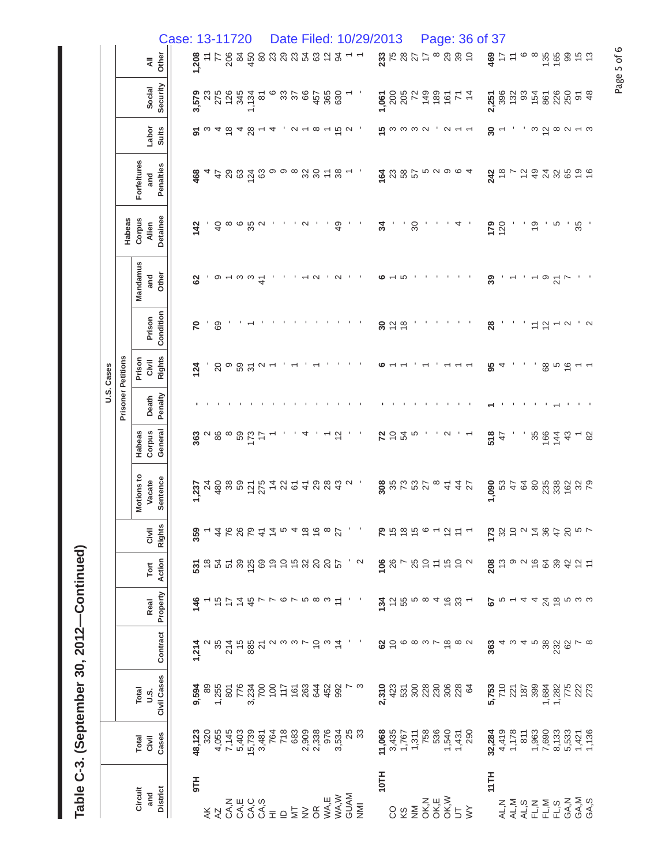| I<br><u>ุ์</u><br>ć<br>ì |  |
|--------------------------|--|
| ຈຸດ<br>)<br>)            |  |
| י                        |  |
| .<br>(                   |  |
|                          |  |

|            |                           |               |                           |                 | Case: 13-11720 |               |           |                                 |               |     |                                                                                                         |               |                                                                                                                                                                                                                                                                                       |                            |    |        |             |                                          |                                       |                                   | Date Filed: 10/29/2013 |       |                                                                                                                                                                                                                                                                                                                                                                                                                                     |                |                  |                                                             |               |            |    |                | Page: 36 of 37 |                |                |    |                                      |                 |                                                          |                |    |                                                                                                                                                                                                                                                         |
|------------|---------------------------|---------------|---------------------------|-----------------|----------------|---------------|-----------|---------------------------------|---------------|-----|---------------------------------------------------------------------------------------------------------|---------------|---------------------------------------------------------------------------------------------------------------------------------------------------------------------------------------------------------------------------------------------------------------------------------------|----------------------------|----|--------|-------------|------------------------------------------|---------------------------------------|-----------------------------------|------------------------|-------|-------------------------------------------------------------------------------------------------------------------------------------------------------------------------------------------------------------------------------------------------------------------------------------------------------------------------------------------------------------------------------------------------------------------------------------|----------------|------------------|-------------------------------------------------------------|---------------|------------|----|----------------|----------------|----------------|----------------|----|--------------------------------------|-----------------|----------------------------------------------------------|----------------|----|---------------------------------------------------------------------------------------------------------------------------------------------------------------------------------------------------------------------------------------------------------|
|            |                           |               | Other<br>$\bar{a}$        |                 |                | 1,208         | ÷.        |                                 | $^{77}_{206}$ | 450 |                                                                                                         |               | ននន                                                                                                                                                                                                                                                                                   | 23                         | 54 | 63     | $\tilde{c}$ | $\mathfrak{g}$                           |                                       |                                   |                        |       | 237                                                                                                                                                                                                                                                                                                                                                                                                                                 |                |                  | $\ddot{ }$                                                  |               | 29         | 39 | $\overline{C}$ | 469            | $\frac{1}{2}$  | $\div$         |    |                                      |                 | $769$<br>$769$                                           |                |    |                                                                                                                                                                                                                                                         |
|            |                           |               | Security<br>Social        |                 |                | 3,579         | 23        |                                 | 275<br>126    | 345 | $1,134$<br>81                                                                                           |               |                                                                                                                                                                                                                                                                                       | 3788                       |    |        |             | 457<br>365<br>630                        |                                       |                                   |                        | 1,061 |                                                                                                                                                                                                                                                                                                                                                                                                                                     |                | 205<br>72        | $rac{4}{3}$ $rac{6}{9}$ $rac{6}{9}$ $rac{1}{5}$ $rac{4}{7}$ |               |            |    |                | 2,251          |                |                |    |                                      |                 | <b>382345826</b><br>882856828                            |                |    | $rac{4}{9}$                                                                                                                                                                                                                                             |
|            |                           |               | Labor<br><b>Suits</b>     |                 |                | 5             |           |                                 |               |     | $\begin{array}{c}\n\omega & 4 & \overline{6} \\ \alpha & \overline{1} \\ 0 & \overline{2}\n\end{array}$ |               | 4                                                                                                                                                                                                                                                                                     | $\alpha - \infty - \infty$ |    |        |             |                                          |                                       |                                   |                        |       | <b>5</b> ພິພິພິພິມ                                                                                                                                                                                                                                                                                                                                                                                                                  |                |                  |                                                             |               |            |    |                | నె             |                |                |    |                                      |                 | $\omega$ $\bar{\omega}$ $\omega$ $\omega$ $\mu$ $\omega$ |                |    |                                                                                                                                                                                                                                                         |
|            |                           | Forfeitures   | Penalties<br>and          |                 |                | 468           |           |                                 |               |     | $488\frac{2}{9}8$                                                                                       |               | တ တ ထ                                                                                                                                                                                                                                                                                 |                            |    |        |             | $38 + 3$                                 |                                       |                                   |                        |       | 885                                                                                                                                                                                                                                                                                                                                                                                                                                 |                |                  | ယ                                                           | $\sim$ $\sim$ |            |    |                | 242            | $\frac{8}{1}$  |                |    | $\frac{2}{4}$                        |                 | 24 35 8                                                  |                |    | $\frac{9}{6}$                                                                                                                                                                                                                                           |
|            | Habeas                    | Corpus        | Detainee<br>Alien         |                 |                | 142           |           | $\overline{4}$                  |               |     | စ ဖ ပ္က ဂ                                                                                               |               |                                                                                                                                                                                                                                                                                       |                            | N  |        |             | $\overline{4}$                           |                                       |                                   |                        | 34    |                                                                                                                                                                                                                                                                                                                                                                                                                                     |                | $\boldsymbol{S}$ |                                                             |               |            |    |                |                | $179$<br>$120$ |                |    | $\frac{6}{2}$                        |                 | ယ                                                        |                | 35 |                                                                                                                                                                                                                                                         |
|            |                           | Mandamus      | Other<br>and              |                 |                | 8             |           | တ                               |               | ო ო |                                                                                                         | $\frac{4}{5}$ |                                                                                                                                                                                                                                                                                       |                            |    | $\sim$ |             | $\sim$                                   |                                       |                                   |                        | ဖ     |                                                                                                                                                                                                                                                                                                                                                                                                                                     | ပ              |                  |                                                             |               |            |    |                | 39             |                |                |    |                                      | ၜ               | $\overline{2}$                                           |                |    |                                                                                                                                                                                                                                                         |
|            |                           |               | Condition<br>Prison       |                 |                | 20            |           | 69                              |               |     |                                                                                                         |               |                                                                                                                                                                                                                                                                                       |                            |    |        |             |                                          |                                       |                                   |                        | 30    | $\tilde{c}$                                                                                                                                                                                                                                                                                                                                                                                                                         | $\frac{8}{10}$ |                  |                                                             |               |            |    |                | $\frac{8}{2}$  |                |                |    | $\stackrel{\textstyle\frown}{\cdot}$ | $\tilde{c}$     | ↽                                                        | $\sim$         |    | $\sim$                                                                                                                                                                                                                                                  |
| U.S. Cases |                           | Prison        | <b>Rights</b><br>Givil    |                 |                | 124           |           | $\overline{c}$                  | ၜ             | 59  |                                                                                                         | $\sim$        |                                                                                                                                                                                                                                                                                       |                            |    |        |             |                                          |                                       |                                   |                        |       |                                                                                                                                                                                                                                                                                                                                                                                                                                     |                |                  |                                                             |               |            |    |                | 95             |                |                |    |                                      | 89              |                                                          | ს<br>მ<br>მ    |    |                                                                                                                                                                                                                                                         |
|            | <b>Prisoner Petitions</b> |               | Penalty<br>Death          |                 |                |               |           |                                 |               |     |                                                                                                         |               |                                                                                                                                                                                                                                                                                       |                            |    |        |             |                                          |                                       |                                   |                        |       |                                                                                                                                                                                                                                                                                                                                                                                                                                     |                |                  |                                                             |               |            |    |                |                |                |                |    |                                      |                 |                                                          |                |    |                                                                                                                                                                                                                                                         |
|            |                           | Habeas        | General<br>Corpus         |                 |                | 363           |           | $\alpha$ $\frac{8}{8}$ $\infty$ |               |     | 59<br>173<br>17                                                                                         |               |                                                                                                                                                                                                                                                                                       |                            |    |        |             | $\frac{2}{3}$                            |                                       |                                   |                        | 72    | 54                                                                                                                                                                                                                                                                                                                                                                                                                                  |                | Ю                |                                                             |               | $\sim$     |    |                | 518            | 47             |                |    |                                      | 36 <sup>2</sup> | 144                                                      | $\frac{3}{4}$  |    | 82                                                                                                                                                                                                                                                      |
|            |                           | Motions to    | Vacate                    | Sentence        |                | 1,237         | $\approx$ |                                 | $rac{86}{36}$ |     |                                                                                                         |               | នន្ត្រីមុនន                                                                                                                                                                                                                                                                           |                            |    | 40884  |             |                                          | $\sim$                                |                                   |                        |       | 305727                                                                                                                                                                                                                                                                                                                                                                                                                              |                |                  |                                                             |               | $\ddot{+}$ | 44 |                | 1,090          | 53             | $\ddot{4}$     | 64 | $80$                                 | 235             |                                                          | $338$<br>162   |    | $\frac{22}{79}$                                                                                                                                                                                                                                         |
|            |                           |               | <b>Rights</b><br>Civil    |                 |                | 359           |           |                                 |               |     |                                                                                                         |               | $468824404668$ $\mu$                                                                                                                                                                                                                                                                  |                            |    |        |             |                                          |                                       | $\mathcal{F} \subset \mathcal{F}$ |                        |       | $\begin{array}{cccccccccc} \mathbf{p} & \mathbf{p} & \mathbf{p} & \mathbf{p} & \mathbf{p} & \mathbf{p} & \mathbf{p} & \mathbf{p} & \mathbf{p} & \mathbf{p} & \mathbf{p} & \mathbf{p} & \mathbf{p} & \mathbf{p} & \mathbf{p} & \mathbf{p} & \mathbf{p} & \mathbf{p} & \mathbf{p} & \mathbf{p} & \mathbf{p} & \mathbf{p} & \mathbf{p} & \mathbf{p} & \mathbf{p} & \mathbf{p} & \mathbf{p} & \mathbf{p} & \mathbf{p} & \mathbf{p} & \$ |                |                  |                                                             |               |            |    |                |                |                |                |    |                                      |                 |                                                          |                |    |                                                                                                                                                                                                                                                         |
|            |                           |               | Action<br>$\mathsf{Tort}$ |                 |                |               |           |                                 |               |     |                                                                                                         |               |                                                                                                                                                                                                                                                                                       |                            |    |        |             |                                          | $\mathbf{B} \in \mathbb{Q}$           |                                   |                        |       | 88785552                                                                                                                                                                                                                                                                                                                                                                                                                            |                |                  |                                                             |               |            |    |                |                |                |                |    |                                      |                 |                                                          |                |    |                                                                                                                                                                                                                                                         |
|            |                           |               | Real                      | Property        |                | $\frac{4}{5}$ |           |                                 |               | 44  |                                                                                                         |               | <b>VVBBDVDVV</b>                                                                                                                                                                                                                                                                      |                            |    |        |             |                                          |                                       |                                   |                        |       | $\frac{1}{2} \tilde{\omega} \tilde{\omega} \tilde{\omega} \tilde{\omega} \tilde{\omega} \tilde{\omega} \tilde{\omega} + \frac{1}{2} \tilde{\omega} \tilde{\omega} \tilde{\omega}$                                                                                                                                                                                                                                                   |                |                  |                                                             |               |            |    |                | 67             |                |                |    |                                      |                 | 4426 r w w                                               |                |    |                                                                                                                                                                                                                                                         |
|            |                           |               | Contract                  |                 |                | 1,214         |           |                                 |               |     |                                                                                                         |               | $\begin{array}{c} 0.45 & 0.65 & 0.65 \\ 0.45 & 0.65 & 0.65 \\ 0.45 & 0.65 & 0.65 \\ 0.45 & 0.65 & 0.65 \\ 0.45 & 0.65 & 0.65 \\ 0.45 & 0.65 & 0.65 \\ 0.45 & 0.65 & 0.65 \\ 0.45 & 0.65 & 0.65 \\ 0.45 & 0.65 & 0.65 \\ 0.45 & 0.65 & 0.65 \\ 0.45 & 0.65 & 0.65 \\ 0.45 & 0.65 & 0.$ |                            |    |        |             |                                          |                                       |                                   |                        |       | $\Omega$ $\tilde{\Theta}$ $\in$ $\infty$ $\omega$ $\sim$ $\omega$ $\infty$ $\infty$                                                                                                                                                                                                                                                                                                                                                 |                |                  |                                                             |               |            |    |                | 363            |                |                |    |                                      |                 |                                                          |                |    |                                                                                                                                                                                                                                                         |
|            |                           | Total<br>U.S. | Civil Cases               |                 |                |               |           |                                 |               |     |                                                                                                         |               |                                                                                                                                                                                                                                                                                       |                            |    |        |             |                                          |                                       |                                   |                        |       | 2,310<br>423                                                                                                                                                                                                                                                                                                                                                                                                                        |                | 5080683          |                                                             |               |            |    |                |                |                |                |    |                                      |                 |                                                          |                |    | <b>5,753</b><br>710 271 8998 282<br>772 772 773<br>773 774 774 7                                                                                                                                                                                        |
|            |                           | Total         | Cases<br>Civil            |                 |                | 48,123        | 320       |                                 |               |     |                                                                                                         |               | 4,055<br>7,1403<br>7,1403<br>4,0539<br>4,053<br>7,18<br>7,18                                                                                                                                                                                                                          | 683                        |    |        |             | 008<br>008<br>008<br>008<br>0084<br>0084 | <b>25</b><br>28                       |                                   |                        |       | $7.0008$ $7.707$ $7.707$ $7.708$ $7.707$ $7.708$ $7.709$ $7.709$ $7.709$ $7.709$ $7.709$                                                                                                                                                                                                                                                                                                                                            |                |                  |                                                             |               |            |    |                | 32,284         |                |                |    |                                      |                 |                                                          |                |    | $4 + 128$ $4 + 289$ $6 + 289$ $6 + 289$ $6 + 289$ $6 + 289$ $6 + 289$ $6 + 289$ $6 + 289$ $6 + 289$ $6 + 289$ $6 + 289$ $6 + 289$ $6 + 289$ $6 + 289$ $6 + 289$ $6 + 289$ $6 + 289$ $6 + 289$ $6 + 289$ $6 + 289$ $6 + 289$ $6 + 289$ $6 + 289$ $6 + 2$ |
|            |                           | Circuit       | and                       | <b>District</b> |                | FL6           |           | K<br>K                          |               |     |                                                                                                         |               |                                                                                                                                                                                                                                                                                       |                            |    |        |             |                                          | ΩΩΩΩΣ=072022<br>ΩΩΩΩΩ<br>Σπόω<br>Σπόω |                                   |                        | 10TH  | S                                                                                                                                                                                                                                                                                                                                                                                                                                   |                | $\frac{8}{2}$    | хн≫<br>Хуёх<br>Хоб5≽                                        |               |            |    |                | 11TH           |                | AL, N<br>AL, M |    | AL, M<br>EL, M<br>EL, M              |                 |                                                          | $FLS$<br>GA, N |    | GA,M<br>GA,S                                                                                                                                                                                                                                            |

Page 5 of 6